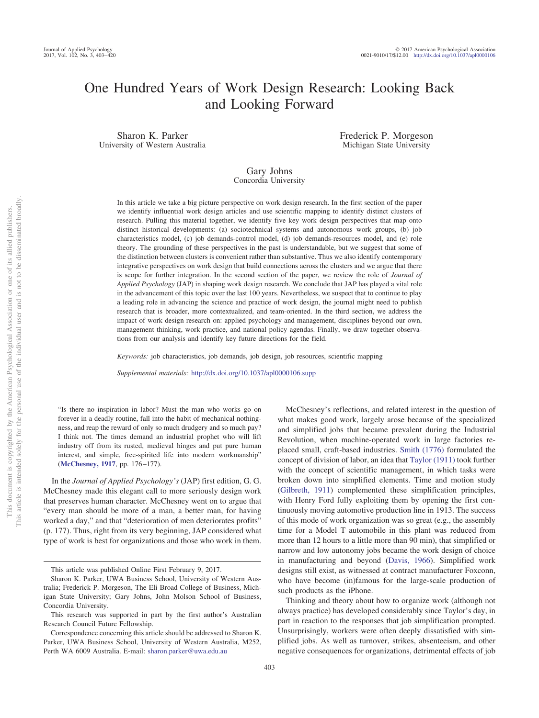# One Hundred Years of Work Design Research: Looking Back and Looking Forward

Sharon K. Parker University of Western Australia Frederick P. Morgeson Michigan State University

## Gary Johns Concordia University

In this article we take a big picture perspective on work design research. In the first section of the paper we identify influential work design articles and use scientific mapping to identify distinct clusters of research. Pulling this material together, we identify five key work design perspectives that map onto distinct historical developments: (a) sociotechnical systems and autonomous work groups, (b) job characteristics model, (c) job demands-control model, (d) job demands-resources model, and (e) role theory. The grounding of these perspectives in the past is understandable, but we suggest that some of the distinction between clusters is convenient rather than substantive. Thus we also identify contemporary integrative perspectives on work design that build connections across the clusters and we argue that there is scope for further integration. In the second section of the paper, we review the role of *Journal of Applied Psychology* (JAP) in shaping work design research. We conclude that JAP has played a vital role in the advancement of this topic over the last 100 years. Nevertheless, we suspect that to continue to play a leading role in advancing the science and practice of work design, the journal might need to publish research that is broader, more contextualized, and team-oriented. In the third section, we address the impact of work design research on: applied psychology and management, disciplines beyond our own, management thinking, work practice, and national policy agendas. Finally, we draw together observations from our analysis and identify key future directions for the field.

*Keywords:* job characteristics, job demands, job design, job resources, scientific mapping

*Supplemental materials:* http://dx.doi.org[/10.1037/apl0000106.supp](http://dx.doi.org/10.1037/apl0000106.supp)

"Is there no inspiration in labor? Must the man who works go on forever in a deadly routine, fall into the habit of mechanical nothingness, and reap the reward of only so much drudgery and so much pay? I think not. The times demand an industrial prophet who will lift industry off from its rusted, medieval hinges and put pure human interest, and simple, free-spirited life into modern workmanship" ([McChesney, 1917](#page-15-0), pp. 176-177).

In the *Journal of Applied Psychology's* (JAP) first edition, G. G. McChesney made this elegant call to more seriously design work that preserves human character. McChesney went on to argue that "every man should be more of a man, a better man, for having worked a day," and that "deterioration of men deteriorates profits" (p. 177). Thus, right from its very beginning, JAP considered what type of work is best for organizations and those who work in them.

McChesney's reflections, and related interest in the question of what makes good work, largely arose because of the specialized and simplified jobs that became prevalent during the Industrial Revolution, when machine-operated work in large factories replaced small, craft-based industries. [Smith \(1776\)](#page-16-0) formulated the concept of division of labor, an idea that [Taylor \(1911\)](#page-16-1) took further with the concept of scientific management, in which tasks were broken down into simplified elements. Time and motion study [\(Gilbreth, 1911\)](#page-14-0) complemented these simplification principles, with Henry Ford fully exploiting them by opening the first continuously moving automotive production line in 1913. The success of this mode of work organization was so great (e.g., the assembly time for a Model T automobile in this plant was reduced from more than 12 hours to a little more than 90 min), that simplified or narrow and low autonomy jobs became the work design of choice in manufacturing and beyond [\(Davis, 1966\)](#page-14-1). Simplified work designs still exist, as witnessed at contract manufacturer Foxconn, who have become (in)famous for the large-scale production of such products as the iPhone.

Thinking and theory about how to organize work (although not always practice) has developed considerably since Taylor's day, in part in reaction to the responses that job simplification prompted. Unsurprisingly, workers were often deeply dissatisfied with simplified jobs. As well as turnover, strikes, absenteeism, and other negative consequences for organizations, detrimental effects of job

This article was published Online First February 9, 2017.

Sharon K. Parker, UWA Business School, University of Western Australia; Frederick P. Morgeson, The Eli Broad College of Business, Michigan State University; Gary Johns, John Molson School of Business, Concordia University.

This research was supported in part by the first author's Australian Research Council Future Fellowship.

Correspondence concerning this article should be addressed to Sharon K. Parker, UWA Business School, University of Western Australia, M252, Perth WA 6009 Australia. E-mail: [sharon.parker@uwa.edu.au](mailto:sharon.parker@uwa.edu.au)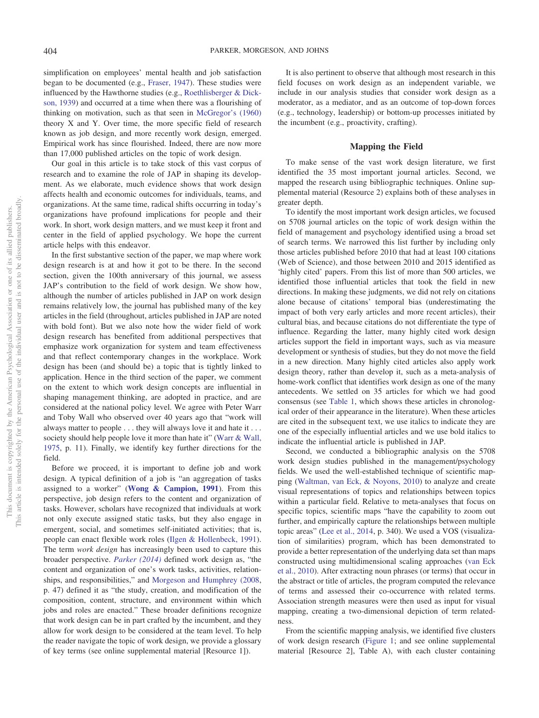simplification on employees' mental health and job satisfaction began to be documented (e.g., [Fraser, 1947\)](#page-14-2). These studies were influenced by the Hawthorne studies (e.g., [Roethlisberger & Dick](#page-16-2)[son, 1939\)](#page-16-2) and occurred at a time when there was a flourishing of thinking on motivation, such as that seen in [McGregor's \(1960\)](#page-15-1) theory X and Y. Over time, the more specific field of research known as job design, and more recently work design, emerged. Empirical work has since flourished. Indeed, there are now more than 17,000 published articles on the topic of work design.

Our goal in this article is to take stock of this vast corpus of research and to examine the role of JAP in shaping its development. As we elaborate, much evidence shows that work design affects health and economic outcomes for individuals, teams, and organizations. At the same time, radical shifts occurring in today's organizations have profound implications for people and their work. In short, work design matters, and we must keep it front and center in the field of applied psychology. We hope the current article helps with this endeavor.

In the first substantive section of the paper, we map where work design research is at and how it got to be there. In the second section, given the 100th anniversary of this journal, we assess JAP's contribution to the field of work design. We show how, although the number of articles published in JAP on work design remains relatively low, the journal has published many of the key articles in the field (throughout, articles published in JAP are noted with bold font). But we also note how the wider field of work design research has benefited from additional perspectives that emphasize work organization for system and team effectiveness and that reflect contemporary changes in the workplace. Work design has been (and should be) a topic that is tightly linked to application. Hence in the third section of the paper, we comment on the extent to which work design concepts are influential in shaping management thinking, are adopted in practice, and are considered at the national policy level. We agree with Peter Warr and Toby Wall who observed over 40 years ago that "work will always matter to people... they will always love it and hate it... society should help people love it more than hate it" [\(Warr & Wall,](#page-17-0) [1975,](#page-17-0) p. 11). Finally, we identify key further directions for the field.

Before we proceed, it is important to define job and work design. A typical definition of a job is "an aggregation of tasks assigned to a worker" (**[Wong & Campion, 1991](#page-17-1)**). From this perspective, job design refers to the content and organization of tasks. However, scholars have recognized that individuals at work not only execute assigned static tasks, but they also engage in emergent, social, and sometimes self-initiated activities; that is, people can enact flexible work roles [\(Ilgen & Hollenbeck, 1991\)](#page-15-2). The term *work design* has increasingly been used to capture this broader perspective. *[Parker \(2014\)](#page-16-3)* defined work design as, "the content and organization of one's work tasks, activities, relationships, and responsibilities," and [Morgeson and Humphrey \(2008,](#page-16-4) p. 47) defined it as "the study, creation, and modification of the composition, content, structure, and environment within which jobs and roles are enacted." These broader definitions recognize that work design can be in part crafted by the incumbent, and they allow for work design to be considered at the team level. To help the reader navigate the topic of work design, we provide a glossary of key terms (see online supplemental material [Resource 1]).

It is also pertinent to observe that although most research in this field focuses on work design as an independent variable, we include in our analysis studies that consider work design as a moderator, as a mediator, and as an outcome of top-down forces (e.g., technology, leadership) or bottom-up processes initiated by the incumbent (e.g., proactivity, crafting).

## **Mapping the Field**

To make sense of the vast work design literature, we first identified the 35 most important journal articles. Second, we mapped the research using bibliographic techniques. Online supplemental material (Resource 2) explains both of these analyses in greater depth.

To identify the most important work design articles, we focused on 5708 journal articles on the topic of work design within the field of management and psychology identified using a broad set of search terms. We narrowed this list further by including only those articles published before 2010 that had at least 100 citations (Web of Science), and those between 2010 and 2015 identified as 'highly cited' papers. From this list of more than 500 articles, we identified those influential articles that took the field in new directions. In making these judgments, we did not rely on citations alone because of citations' temporal bias (underestimating the impact of both very early articles and more recent articles), their cultural bias, and because citations do not differentiate the type of influence. Regarding the latter, many highly cited work design articles support the field in important ways, such as via measure development or synthesis of studies, but they do not move the field in a new direction. Many highly cited articles also apply work design theory, rather than develop it, such as a meta-analysis of home-work conflict that identifies work design as one of the many antecedents. We settled on 35 articles for which we had good consensus (see [Table 1,](#page-2-0) which shows these articles in chronological order of their appearance in the literature). When these articles are cited in the subsequent text, we use italics to indicate they are one of the especially influential articles and we use bold italics to indicate the influential article is published in JAP.

Second, we conducted a bibliographic analysis on the 5708 work design studies published in the management/psychology fields. We used the well-established technique of scientific mapping [\(Waltman, van Eck, & Noyons, 2010\)](#page-17-2) to analyze and create visual representations of topics and relationships between topics within a particular field. Relative to meta-analyses that focus on specific topics, scientific maps "have the capability to zoom out further, and empirically capture the relationships between multiple topic areas" [\(Lee et al., 2014,](#page-15-3) p. 340). We used a VOS (visualization of similarities) program, which has been demonstrated to provide a better representation of the underlying data set than maps constructed using multidimensional scaling approaches [\(van Eck](#page-17-3) [et al., 2010\)](#page-17-3). After extracting noun phrases (or terms) that occur in the abstract or title of articles, the program computed the relevance of terms and assessed their co-occurrence with related terms. Association strength measures were then used as input for visual mapping, creating a two-dimensional depiction of term relatedness.

From the scientific mapping analysis, we identified five clusters of work design research [\(Figure 1;](#page-3-0) and see online supplemental material [Resource 2], Table A), with each cluster containing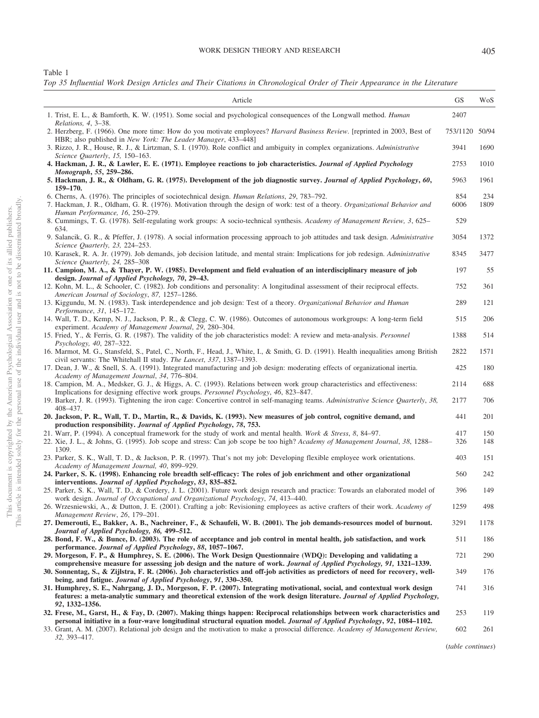This document is copyrighted by the American Psychological Association or one of its allied publishers. This article is intended solely for the personal use of the individual user and is not to be disseminated broadly.

This document is copyrighted by the American Psychological Association or one of its allied publishers.<br>This article is intended solely for the personal use of the individual user and is not to be disseminated broadly.

<span id="page-2-0"></span>

| Article                                                                                                                                                                                                                                                                                                                            | <b>GS</b>      | WoS         |
|------------------------------------------------------------------------------------------------------------------------------------------------------------------------------------------------------------------------------------------------------------------------------------------------------------------------------------|----------------|-------------|
| 1. Trist, E. L., & Bamforth, K. W. (1951). Some social and psychological consequences of the Longwall method. Human                                                                                                                                                                                                                | 2407           |             |
| <i>Relations</i> , 4, 3–38.<br>2. Herzberg, F. (1966). One more time: How do you motivate employees? <i>Harvard Business Review</i> . [reprinted in 2003, Best of<br>HBR; also published in New York: The Leader Manager, 433–448]                                                                                                 | 753/1120 50/94 |             |
| 3. Rizzo, J. R., House, R. J., & Lirtzman, S. I. (1970). Role conflict and ambiguity in complex organizations. Administrative<br>Science Quarterly, 15, 150–163.                                                                                                                                                                   | 3941           | 1690        |
| 4. Hackman, J. R., & Lawler, E. E. (1971). Employee reactions to job characteristics. Journal of Applied Psychology<br>Monograph, 55, 259-286.                                                                                                                                                                                     | 2753           | 1010        |
| 5. Hackman, J. R., & Oldham, G. R. (1975). Development of the job diagnostic survey. Journal of Applied Psychology, 60,<br>$159 - 170.$                                                                                                                                                                                            | 5963           | 1961        |
| 6. Cherns, A. (1976). The principles of sociotechnical design. <i>Human Relations</i> , 29, 783–792.<br>7. Hackman, J. R., Oldham, G. R. (1976). Motivation through the design of work: test of a theory. Organizational Behavior and<br>Human Performance, 16, 250-279.                                                           | 854<br>6006    | 234<br>1809 |
| 8. Cummings, T. G. (1978). Self-regulating work groups: A socio-technical synthesis. Academy of Management Review, 3, 625–<br>634.                                                                                                                                                                                                 | 529            |             |
| 9. Salancik, G. R., & Pfeffer, J. (1978). A social information processing approach to job attitudes and task design. Administrative<br>Science Quarterly, 23, 224–253.                                                                                                                                                             | 3054           | 1372        |
| 10. Karasek, R. A. Jr. (1979). Job demands, job decision latitude, and mental strain: Implications for job redesign. Administrative<br>Science Quarterly, 24, 285-308                                                                                                                                                              | 8345           | 3477        |
| 11. Campion, M. A., & Thayer, P. W. (1985). Development and field evaluation of an interdisciplinary measure of job<br>design. Journal of Applied Psychology, 70, 29-43.                                                                                                                                                           | 197            | 55          |
| 12. Kohn, M. L., & Schooler, C. (1982). Job conditions and personality: A longitudinal assessment of their reciprocal effects.<br>American Journal of Sociology, 87, 1257-1286.                                                                                                                                                    | 752            | 361         |
| 13. Kiggundu, M. N. (1983). Task interdependence and job design: Test of a theory. Organizational Behavior and Human<br>Performance, 31, 145-172.                                                                                                                                                                                  | 289            | 121         |
| 14. Wall, T. D., Kemp, N. J., Jackson, P. R., & Clegg, C. W. (1986). Outcomes of autonomous workgroups: A long-term field                                                                                                                                                                                                          | 515            | 206         |
| experiment. Academy of Management Journal, 29, 280-304.<br>15. Fried, Y., & Ferris, G. R. (1987). The validity of the job characteristics model: A review and meta-analysis. <i>Personnel</i><br>Psychology, 40, 287-322.                                                                                                          | 1388           | 514         |
| 16. Marmot, M. G., Stansfeld, S., Patel, C., North, F., Head, J., White, I., & Smith, G. D. (1991). Health inequalities among British<br>civil servants: The Whitehall II study. The Lancet, 337, 1387-1393.                                                                                                                       | 2822           | 1571        |
| 17. Dean, J. W., & Snell, S. A. (1991). Integrated manufacturing and job design: moderating effects of organizational inertia.<br>Academy of Management Journal, 34, 776-804.                                                                                                                                                      | 425            | 180         |
| 18. Campion, M. A., Medsker, G. J., & Higgs, A. C. (1993). Relations between work group characteristics and effectiveness:<br>Implications for designing effective work groups. Personnel Psychology, 46, 823–847.                                                                                                                 | 2114           | 688         |
| 19. Barker, J. R. (1993). Tightening the iron cage: Concertive control in self-managing teams. Administrative Science Quarterly, 38,<br>408-437.                                                                                                                                                                                   | 2177           | 706         |
| 20. Jackson, P. R., Wall, T. D., Martin, R., & Davids, K. (1993). New measures of job control, cognitive demand, and<br>production responsibility. Journal of Applied Psychology, 78, 753.                                                                                                                                         | 441            | 201         |
| 21. Warr, P. (1994). A conceptual framework for the study of work and mental health. Work & Stress, 8, 84–97.<br>22. Xie, J. L., & Johns, G. (1995). Job scope and stress: Can job scope be too high? Academy of Management Journal, 38, 1288–<br>1309.                                                                            | 417<br>326     | 150<br>148  |
| 23. Parker, S. K., Wall, T. D., & Jackson, P. R. (1997). That's not my job: Developing flexible employee work orientations.<br>Academy of Management Journal, 40, 899-929.                                                                                                                                                         | 403            | 151         |
| 24. Parker, S. K. (1998). Enhancing role breadth self-efficacy: The roles of job enrichment and other organizational<br>interventions. Journal of Applied Psychology, 83, 835-852.                                                                                                                                                 | 560            | 242         |
| 25. Parker, S. K., Wall, T. D., & Cordery, J. L. (2001). Future work design research and practice: Towards an elaborated model of<br>work design. Journal of Occupational and Organizational Psychology, 74, 413-440.                                                                                                              | 396            | 149         |
| 26. Wrzesniewski, A., & Dutton, J. E. (2001). Crafting a job: Revisioning employees as active crafters of their work. Academy of<br>Management Review, 26, 179-201.                                                                                                                                                                | 1259           | 498         |
| 27. Demerouti, E., Bakker, A. B., Nachreiner, F., & Schaufeli, W. B. (2001). The job demands-resources model of burnout.<br>Journal of Applied Psychology, 86, 499–512.                                                                                                                                                            | 3291           | 1178        |
| 28. Bond, F. W., & Bunce, D. (2003). The role of acceptance and job control in mental health, job satisfaction, and work<br>performance. Journal of Applied Psychology, 88, 1057-1067.                                                                                                                                             | 511            | 186         |
| 29. Morgeson, F. P., & Humphrey, S. E. (2006). The Work Design Questionnaire (WDQ): Developing and validating a<br>comprehensive measure for assessing job design and the nature of work. Journal of Applied Psychology, 91, 1321-1339.                                                                                            | 721            | 290         |
| 30. Sonnentag, S., & Zijlstra, F. R. (2006). Job characteristics and off-job activities as predictors of need for recovery, well-                                                                                                                                                                                                  | 349            | 176         |
| being, and fatigue. <i>Journal of Applied Psychology</i> , 91, 330–350.<br>31. Humphrey, S. E., Nahrgang, J. D., Morgeson, F. P. (2007). Integrating motivational, social, and contextual work design<br>features: a meta-analytic summary and theoretical extension of the work design literature. Journal of Applied Psychology, | 741            | 316         |
| 92, 1332–1356.                                                                                                                                                                                                                                                                                                                     |                |             |
| 32. Frese, M., Garst, H., & Fay, D. (2007). Making things happen: Reciprocal relationships between work characteristics and<br>personal initiative in a four-wave longitudinal structural equation model. <i>Journal of Applied Psychology</i> , 92, 1084–1102.                                                                    | 253            | 119         |
| 33. Grant, A. M. (2007). Relational job design and the motivation to make a prosocial difference. Academy of Management Review,<br>32, 393-417.                                                                                                                                                                                    | 602            | 261         |

(*table continues*)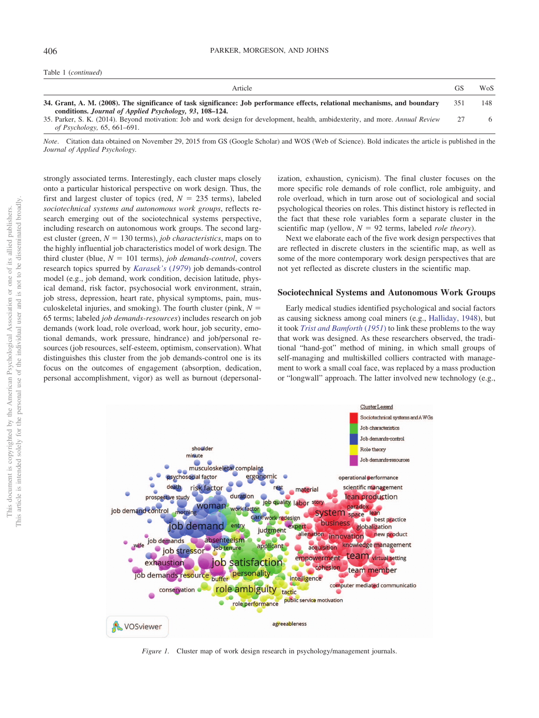Table 1 (*continued*)

| Article                                                                                                                                                                                         | GS. | WoS |
|-------------------------------------------------------------------------------------------------------------------------------------------------------------------------------------------------|-----|-----|
| 34. Grant, A. M. (2008). The significance of task significance: Job performance effects, relational mechanisms, and boundary<br>conditions. <i>Journal of Applied Psychology</i> , 93, 108–124. | 351 | 148 |
| 35. Parker, S. K. (2014). Beyond motivation: Job and work design for development, health, ambidexterity, and more. Annual Review<br>of Psychology, $65, 661-691$ .                              | 27  | - 6 |

*Note*. Citation data obtained on November 29, 2015 from GS (Google Scholar) and WOS (Web of Science). Bold indicates the article is published in the *Journal of Applied Psychology.*

strongly associated terms. Interestingly, each cluster maps closely onto a particular historical perspective on work design. Thus, the first and largest cluster of topics (red,  $N = 235$  terms), labeled *sociotechnical systems and autonomous work groups*, reflects research emerging out of the sociotechnical systems perspective, including research on autonomous work groups. The second largest cluster (green,  $N = 130$  terms), *job characteristics*, maps on to the highly influential job characteristics model of work design. The third cluster (blue,  $N = 101$  terms), *job demands-control*, covers research topics spurred by *[Karasek's](#page-15-4)* (*1979*) job demands-control model (e.g., job demand, work condition, decision latitude, physical demand, risk factor, psychosocial work environment, strain, job stress, depression, heart rate, physical symptoms, pain, musculoskeletal injuries, and smoking). The fourth cluster (pink,  $N =$ 65 terms; labeled *job demands-resources*) includes research on job demands (work load, role overload, work hour, job security, emotional demands, work pressure, hindrance) and job/personal resources (job resources, self-esteem, optimism, conservation). What distinguishes this cluster from the job demands-control one is its focus on the outcomes of engagement (absorption, dedication, personal accomplishment, vigor) as well as burnout (depersonalization, exhaustion, cynicism). The final cluster focuses on the more specific role demands of role conflict, role ambiguity, and role overload, which in turn arose out of sociological and social psychological theories on roles. This distinct history is reflected in the fact that these role variables form a separate cluster in the scientific map (yellow,  $N = 92$  terms, labeled *role theory*).

Next we elaborate each of the five work design perspectives that are reflected in discrete clusters in the scientific map, as well as some of the more contemporary work design perspectives that are not yet reflected as discrete clusters in the scientific map.

#### **Sociotechnical Systems and Autonomous Work Groups**

Early medical studies identified psychological and social factors as causing sickness among coal miners (e.g., [Halliday, 1948\)](#page-14-3), but it took *[Trist and Bamforth](#page-17-4)* (*1951*) to link these problems to the way that work was designed. As these researchers observed, the traditional "hand-got" method of mining, in which small groups of self-managing and multiskilled colliers contracted with management to work a small coal face, was replaced by a mass production or "longwall" approach. The latter involved new technology (e.g.,



<span id="page-3-0"></span>*Figure 1.* Cluster map of work design research in psychology/management journals.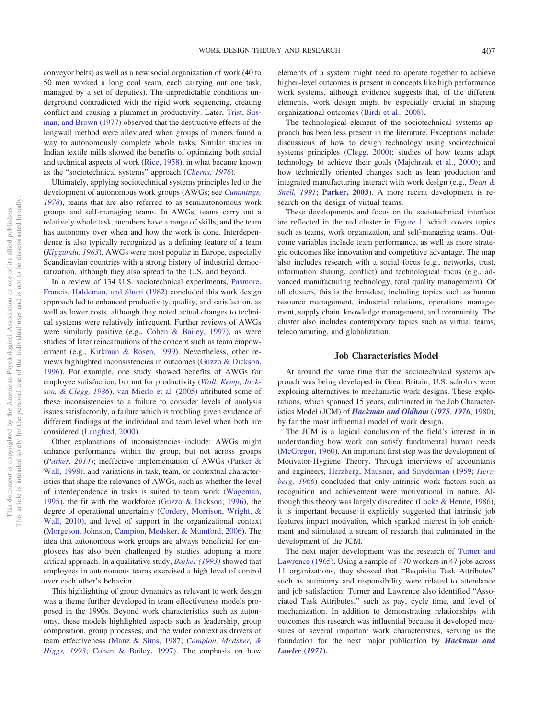conveyor belts) as well as a new social organization of work (40 to 50 men worked a long coal seam, each carrying out one task, managed by a set of deputies). The unpredictable conditions underground contradicted with the rigid work sequencing, creating conflict and causing a plummet in productivity. Later, [Trist, Sus](#page-17-5)[man, and Brown \(1977\)](#page-17-5) observed that the destructive effects of the longwall method were alleviated when groups of miners found a way to autonomously complete whole tasks. Similar studies in Indian textile mills showed the benefits of optimizing both social and technical aspects of work [\(Rice, 1958\)](#page-16-5), in what became known as the "sociotechnical systems" approach (*[Cherns, 1976](#page-13-0)*).

Ultimately, applying sociotechnical systems principles led to the development of autonomous work groups (AWGs; see *[Cummings,](#page-14-4) [1978](#page-14-4)*), teams that are also referred to as semiautonomous work groups and self-managing teams. In AWGs, teams carry out a relatively whole task, members have a range of skills, and the team has autonomy over when and how the work is done. Interdependence is also typically recognized as a defining feature of a team (*[Kiggundu, 1983](#page-15-5)*). AWGs were most popular in Europe, especially Scandinavian countries with a strong history of industrial democratization, although they also spread to the U.S. and beyond.

In a review of 134 U.S. sociotechnical experiments, [Pasmore,](#page-16-6) [Francis, Haldeman, and Shani \(1982\)](#page-16-6) concluded this work design approach led to enhanced productivity, quality, and satisfaction, as well as lower costs, although they noted actual changes to technical systems were relatively infrequent. Further reviews of AWGs were similarly positive (e.g., [Cohen & Bailey, 1997\)](#page-14-5), as were studies of later reincarnations of the concept such as team empowerment (e.g., [Kirkman & Rosen, 1999\)](#page-15-6). Nevertheless, other reviews highlighted inconsistencies in outcomes [\(Guzzo & Dickson,](#page-14-6) [1996\)](#page-14-6). For example, one study showed benefits of AWGs for employee satisfaction, but not for productivity (*[Wall, Kemp, Jack](#page-17-6)[son, & Clegg, 1986](#page-17-6)*). [van Mierlo et al. \(2005\)](#page-17-7) attributed some of these inconsistencies to a failure to consider levels of analysis issues satisfactorily, a failure which is troubling given evidence of different findings at the individual and team level when both are considered [\(Langfred, 2000\)](#page-15-7).

Other explanations of inconsistencies include: AWGs might enhance performance within the group, but not across groups (*[Parker, 2014](#page-16-3)*); ineffective implementation of AWGs [\(Parker &](#page-16-7) [Wall, 1998\)](#page-16-7); and variations in task, team, or contextual characteristics that shape the relevance of AWGs, such as whether the level of interdependence in tasks is suited to team work [\(Wageman,](#page-17-8) [1995\)](#page-17-8), the fit with the workforce [\(Guzzo & Dickson, 1996\)](#page-14-6), the degree of operational uncertainty [\(Cordery, Morrison, Wright, &](#page-14-7) [Wall, 2010\)](#page-14-7), and level of support in the organizational context [\(Morgeson, Johnson, Campion, Medsker, & Mumford, 2006\)](#page-16-8). The idea that autonomous work groups are always beneficial for employees has also been challenged by studies adopting a more critical approach. In a qualitative study, *[Barker \(1993\)](#page-13-1)* showed that employees in autonomous teams exercised a high level of control over each other's behavior.

This highlighting of group dynamics as relevant to work design was a theme further developed in team effectiveness models proposed in the 1990s. Beyond work characteristics such as autonomy, these models highlighted aspects such as leadership, group composition, group processes, and the wider context as drivers of team effectiveness [\(Manz & Sims, 1987;](#page-15-8) *[Campion, Medsker, &](#page-13-2) [Higgs, 1993](#page-13-2)*; [Cohen & Bailey, 1997\)](#page-14-5). The emphasis on how

elements of a system might need to operate together to achieve higher-level outcomes is present in concepts like high performance work systems, although evidence suggests that, of the different elements, work design might be especially crucial in shaping organizational outcomes [\(Birdi et al., 2008\)](#page-13-3).

The technological element of the sociotechnical systems approach has been less present in the literature. Exceptions include: discussions of how to design technology using sociotechnical systems principles [\(Clegg, 2000\)](#page-14-8); studies of how teams adapt technology to achieve their goals [\(Majchrzak et al., 2000\)](#page-15-9); and how technically oriented changes such as lean production and integrated manufacturing interact with work design (e.g., *[Dean &](#page-14-9) [Snell, 1991](#page-14-9)*; **[Parker, 2003](#page-16-9)**). A more recent development is research on the design of virtual teams.

These developments and focus on the sociotechnical interface are reflected in the red cluster in [Figure 1,](#page-3-0) which covers topics such as teams, work organization, and self-managing teams. Outcome variables include team performance, as well as more strategic outcomes like innovation and competitive advantage. The map also includes research with a social focus (e.g., networks, trust, information sharing, conflict) and technological focus (e.g., advanced manufacturing technology, total quality management). Of all clusters, this is the broadest, including topics such as human resource management, industrial relations, operations management, supply chain, knowledge management, and community. The cluster also includes contemporary topics such as virtual teams, telecommuting, and globalization.

## **Job Characteristics Model**

At around the same time that the sociotechnical systems approach was being developed in Great Britain, U.S. scholars were exploring alternatives to mechanistic work designs. These explorations, which spanned 15 years, culminated in the Job Characteristics Model (JCM) of *[Hackman and Oldham](#page-14-10)* **(***1975*, *[1976](#page-14-11)*, [1980\)](#page-14-12), by far the most influential model of work design.

The JCM is a logical conclusion of the field's interest in in understanding how work can satisfy fundamental human needs [\(McGregor, 1960\)](#page-15-1). An important first step was the development of Motivator-Hygiene Theory. Through interviews of accountants and engineers, [Herzberg, Mausner, and Snyderman \(1959;](#page-14-13) *[Herz](#page-14-14)[berg, 1966](#page-14-14)*) concluded that only intrinsic work factors such as recognition and achievement were motivational in nature. Although this theory was largely discredited [\(Locke & Henne, 1986\)](#page-15-10), it is important because it explicitly suggested that intrinsic job features impact motivation, which sparked interest in job enrichment and stimulated a stream of research that culminated in the development of the JCM.

The next major development was the research of [Turner and](#page-17-9) [Lawrence \(1965\).](#page-17-9) Using a sample of 470 workers in 47 jobs across 11 organizations, they showed that "Requisite Task Attributes" such as autonomy and responsibility were related to attendance and job satisfaction. Turner and Lawrence also identified "Associated Task Attributes," such as pay, cycle time, and level of mechanization. In addition to demonstrating relationships with outcomes, this research was influential because it developed measures of several important work characteristics, serving as the foundation for the next major publication by *[Hackman and](#page-14-15) [Lawler](#page-14-15)* **(***1971***)**.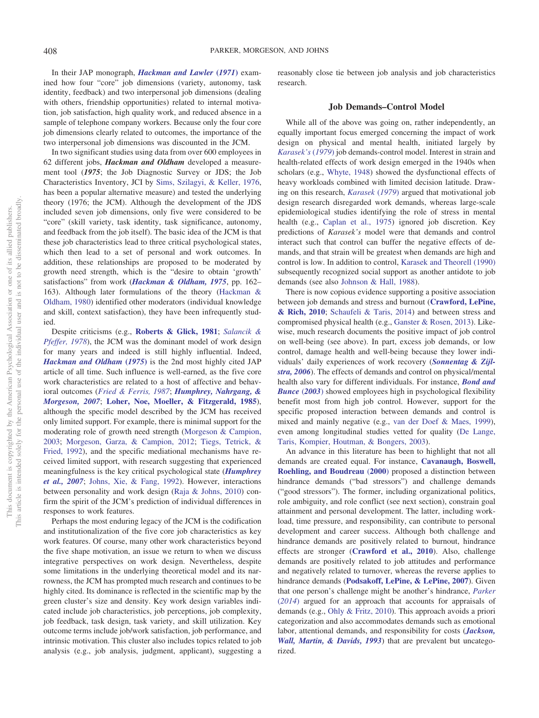In their JAP monograph, *[Hackman and Lawler](#page-14-15)* **(***1971***)** examined how four "core" job dimensions (variety, autonomy, task identity, feedback) and two interpersonal job dimensions (dealing with others, friendship opportunities) related to internal motivation, job satisfaction, high quality work, and reduced absence in a sample of telephone company workers. Because only the four core job dimensions clearly related to outcomes, the importance of the two interpersonal job dimensions was discounted in the JCM.

In two significant studies using data from over 600 employees in 62 different jobs, *Hackman and Oldham* developed a measurement tool (*1975*; the Job Diagnostic Survey or JDS; the Job Characteristics Inventory, JCI by [Sims, Szilagyi, & Keller, 1976,](#page-16-10) has been a popular alternative measure) and tested the underlying theory (1976; the JCM). Although the development of the JDS included seven job dimensions, only five were considered to be "core" (skill variety, task identity, task significance, autonomy, and feedback from the job itself). The basic idea of the JCM is that these job characteristics lead to three critical psychological states, which then lead to a set of personal and work outcomes. In addition, these relationships are proposed to be moderated by growth need strength, which is the "desire to obtain 'growth' satisfactions" from work (*[Hackman & Oldham, 1975](#page-14-10)*, pp. 162– 163). Although later formulations of the theory [\(Hackman &](#page-14-12) [Oldham, 1980\)](#page-14-12) identified other moderators (individual knowledge and skill, context satisfaction), they have been infrequently studied.

Despite criticisms (e.g., **[Roberts & Glick, 1981](#page-16-11)**; *[Salancik &](#page-16-12) [Pfeffer, 1978](#page-16-12)*), the JCM was the dominant model of work design for many years and indeed is still highly influential. Indeed, *[Hackman and Oldham](#page-14-10)* **(***1975***)** is the 2nd most highly cited JAP article of all time. Such influence is well-earned, as the five core work characteristics are related to a host of affective and behavioral outcomes (*[Fried & Ferris, 1987](#page-14-16)*; *[Humphrey, Nahrgang, &](#page-15-11) [Morgeson, 2007](#page-15-11)*; **[Loher, Noe, Moeller, & Fitzgerald, 1985](#page-15-12)**), although the specific model described by the JCM has received only limited support. For example, there is minimal support for the moderating role of growth need strength [\(Morgeson & Campion,](#page-15-13) [2003;](#page-15-13) [Morgeson, Garza, & Campion, 2012;](#page-16-13) [Tiegs, Tetrick, &](#page-17-10) [Fried, 1992\)](#page-17-10), and the specific mediational mechanisms have received limited support, with research suggesting that experienced meaningfulness is the key critical psychological state (*[Humphrey](#page-15-11) [et al., 2007](#page-15-11)*; [Johns, Xie, & Fang, 1992\)](#page-15-14). However, interactions between personality and work design [\(Raja & Johns, 2010\)](#page-16-14) confirm the spirit of the JCM's prediction of individual differences in responses to work features.

Perhaps the most enduring legacy of the JCM is the codification and institutionalization of the five core job characteristics as key work features. Of course, many other work characteristics beyond the five shape motivation, an issue we return to when we discuss integrative perspectives on work design. Nevertheless, despite some limitations in the underlying theoretical model and its narrowness, the JCM has prompted much research and continues to be highly cited. Its dominance is reflected in the scientific map by the green cluster's size and density. Key work design variables indicated include job characteristics, job perceptions, job complexity, job feedback, task design, task variety, and skill utilization. Key outcome terms include job/work satisfaction, job performance, and intrinsic motivation. This cluster also includes topics related to job analysis (e.g., job analysis, judgment, applicant), suggesting a

reasonably close tie between job analysis and job characteristics research.

## **Job Demands–Control Model**

While all of the above was going on, rather independently, an equally important focus emerged concerning the impact of work design on physical and mental health, initiated largely by *[Karasek's](#page-15-4)* (*1979*) job demands-control model. Interest in strain and health-related effects of work design emerged in the 1940s when scholars (e.g., [Whyte, 1948\)](#page-17-11) showed the dysfunctional effects of heavy workloads combined with limited decision latitude. Drawing on this research, *[Karasek](#page-15-4)* (*1979*) argued that motivational job design research disregarded work demands, whereas large-scale epidemiological studies identifying the role of stress in mental health (e.g., [Caplan et al., 1975\)](#page-13-4) ignored job discretion. Key predictions of *Karasek's* model were that demands and control interact such that control can buffer the negative effects of demands, and that strain will be greatest when demands are high and control is low. In addition to control, [Karasek and Theorell \(1990\)](#page-15-15) subsequently recognized social support as another antidote to job demands (see also [Johnson & Hall, 1988\)](#page-15-16).

There is now copious evidence supporting a positive association between job demands and stress and burnout (**[Crawford, LePine,](#page-14-17) [& Rich, 2010](#page-14-17)**; [Schaufeli & Taris, 2014\)](#page-16-15) and between stress and compromised physical health (e.g., [Ganster & Rosen, 2013\)](#page-14-18). Likewise, much research documents the positive impact of job control on well-being (see above). In part, excess job demands, or low control, damage health and well-being because they lower individuals' daily experiences of work recovery (*[Sonnentag & Zijl](#page-16-16)[stra, 2006](#page-16-16)*). The effects of demands and control on physical/mental health also vary for different individuals. For instance, *[Bond and](#page-13-5) [Bunce](#page-13-5)* (*2003*) showed employees high in psychological flexibility benefit most from high job control. However, support for the specific proposed interaction between demands and control is mixed and mainly negative (e.g., [van der Doef & Maes, 1999\)](#page-17-12), even among longitudinal studies vetted for quality [\(De Lange,](#page-14-19) [Taris, Kompier, Houtman, & Bongers, 2003\)](#page-14-19).

An advance in this literature has been to highlight that not all demands are created equal. For instance, **[Cavanaugh, Boswell,](#page-13-6) [Roehling, and Boudreau](#page-13-6)** (**2000**) proposed a distinction between hindrance demands ("bad stressors") and challenge demands ("good stressors"). The former, including organizational politics, role ambiguity, and role conflict (see next section), constrain goal attainment and personal development. The latter, including workload, time pressure, and responsibility, can contribute to personal development and career success. Although both challenge and hindrance demands are positively related to burnout, hindrance effects are stronger (**[Crawford et al., 2010](#page-14-17)**). Also, challenge demands are positively related to job attitudes and performance and negatively related to turnover, whereas the reverse applies to hindrance demands (**[Podsakoff, LePine, & LePine, 2007](#page-16-17)**). Given that one person's challenge might be another's hindrance, *[Parker](#page-16-3)* (*[2014](#page-16-3)*) argued for an approach that accounts for appraisals of demands (e.g., [Ohly & Fritz, 2010\)](#page-16-18). This approach avoids a priori categorization and also accommodates demands such as emotional labor, attentional demands, and responsibility for costs (*[Jackson,](#page-15-17) [Wall, Martin, & Davids, 1993](#page-15-17)*) that are prevalent but uncategorized.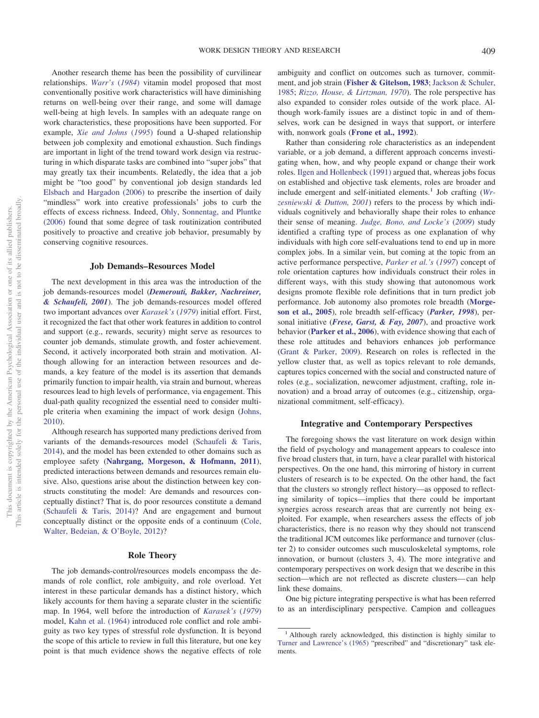Another research theme has been the possibility of curvilinear relationships. *[Warr's](#page-17-13)* (*1984*) vitamin model proposed that most conventionally positive work characteristics will have diminishing returns on well-being over their range, and some will damage well-being at high levels. In samples with an adequate range on work characteristics, these propositions have been supported. For example, *[Xie and Johns](#page-17-14)* (*1995*) found a U-shaped relationship between job complexity and emotional exhaustion. Such findings are important in light of the trend toward work design via restructuring in which disparate tasks are combined into "super jobs" that may greatly tax their incumbents. Relatedly, the idea that a job might be "too good" by conventional job design standards led [Elsbach and Hargadon \(2006\)](#page-14-20) to prescribe the insertion of daily "mindless" work into creative professionals' jobs to curb the effects of excess richness. Indeed, [Ohly, Sonnentag, and Pluntke](#page-16-19) [\(2006\)](#page-16-19) found that some degree of task routinization contributed positively to proactive and creative job behavior, presumably by conserving cognitive resources.

#### **Job Demands–Resources Model**

The next development in this area was the introduction of the job demands-resources model (*[Demerouti, Bakker, Nachreiner,](#page-14-21) [& Schaufeli, 2001](#page-14-21)*). The job demands-resources model offered two important advances over *[Karasek's](#page-15-4)* (*1979*) initial effort. First, it recognized the fact that other work features in addition to control and support (e.g., rewards, security) might serve as resources to counter job demands, stimulate growth, and foster achievement. Second, it actively incorporated both strain and motivation. Although allowing for an interaction between resources and demands, a key feature of the model is its assertion that demands primarily function to impair health, via strain and burnout, whereas resources lead to high levels of performance, via engagement. This dual-path quality recognized the essential need to consider multiple criteria when examining the impact of work design [\(Johns,](#page-15-18) [2010\)](#page-15-18).

Although research has supported many predictions derived from variants of the demands-resources model [\(Schaufeli & Taris,](#page-16-15) [2014\)](#page-16-15), and the model has been extended to other domains such as employee safety (**[Nahrgang, Morgeson, & Hofmann, 2011](#page-16-20)**), predicted interactions between demands and resources remain elusive. Also, questions arise about the distinction between key constructs constituting the model: Are demands and resources conceptually distinct? That is, do poor resources constitute a demand [\(Schaufeli & Taris, 2014\)](#page-16-15)? And are engagement and burnout conceptually distinct or the opposite ends of a continuum [\(Cole,](#page-14-22) [Walter, Bedeian, & O'Boyle, 2012\)](#page-14-22)?

#### **Role Theory**

The job demands-control/resources models encompass the demands of role conflict, role ambiguity, and role overload. Yet interest in these particular demands has a distinct history, which likely accounts for them having a separate cluster in the scientific map. In 1964, well before the introduction of *[Karasek's](#page-15-4)* (*1979*) model, [Kahn et al. \(1964\)](#page-15-19) introduced role conflict and role ambiguity as two key types of stressful role dysfunction. It is beyond the scope of this article to review in full this literature, but one key point is that much evidence shows the negative effects of role

ambiguity and conflict on outcomes such as turnover, commitment, and job strain (**[Fisher & Gitelson, 1983](#page-14-23)**; [Jackson & Schuler,](#page-15-20) [1985;](#page-15-20) *[Rizzo, House, & Lirtzman, 1970](#page-16-21)*). The role perspective has also expanded to consider roles outside of the work place. Although work-family issues are a distinct topic in and of themselves, work can be designed in ways that support, or interfere with, nonwork goals (**[Frone et al., 1992](#page-14-24)**).

Rather than considering role characteristics as an independent variable, or a job demand, a different approach concerns investigating when, how, and why people expand or change their work roles. [Ilgen and Hollenbeck \(1991\)](#page-15-2) argued that, whereas jobs focus on established and objective task elements, roles are broader and include emergent and self-initiated elements.<sup>1</sup> Job crafting (*Wr[zesniewski & Dutton, 2001](#page-17-15)*) refers to the process by which individuals cognitively and behaviorally shape their roles to enhance their sense of meaning. *[Judge, Bono, and Locke's](#page-15-21)* (*2009*) study identified a crafting type of process as one explanation of why individuals with high core self-evaluations tend to end up in more complex jobs. In a similar vein, but coming at the topic from an active performance perspective, *[Parker et al.'s](#page-16-22)* (*1997*) concept of role orientation captures how individuals construct their roles in different ways, with this study showing that autonomous work designs promote flexible role definitions that in turn predict job performance. Job autonomy also promotes role breadth (**[Morge](#page-15-22)[son et al., 2005](#page-15-22)**), role breadth self-efficacy (*[Parker, 1998](#page-16-23)*), personal initiative (*[Frese, Garst, & Fay, 2007](#page-14-25)*), and proactive work behavior (**[Parker et al., 2006](#page-16-24)**), with evidence showing that each of these role attitudes and behaviors enhances job performance [\(Grant & Parker, 2009\)](#page-14-26). Research on roles is reflected in the yellow cluster that, as well as topics relevant to role demands, captures topics concerned with the social and constructed nature of roles (e.g., socialization, newcomer adjustment, crafting, role innovation) and a broad array of outcomes (e.g., citizenship, organizational commitment, self-efficacy).

## **Integrative and Contemporary Perspectives**

The foregoing shows the vast literature on work design within the field of psychology and management appears to coalesce into five broad clusters that, in turn, have a clear parallel with historical perspectives. On the one hand, this mirroring of history in current clusters of research is to be expected. On the other hand, the fact that the clusters so strongly reflect history—as opposed to reflecting similarity of topics—implies that there could be important synergies across research areas that are currently not being exploited. For example, when researchers assess the effects of job characteristics, there is no reason why they should not transcend the traditional JCM outcomes like performance and turnover (cluster 2) to consider outcomes such musculoskeletal symptoms, role innovation, or burnout (clusters 3, 4). The more integrative and contemporary perspectives on work design that we describe in this section—which are not reflected as discrete clusters— can help link these domains.

One big picture integrating perspective is what has been referred to as an interdisciplinary perspective. Campion and colleagues

<sup>&</sup>lt;sup>1</sup> Although rarely acknowledged, this distinction is highly similar to [Turner and Lawrence's \(1965\)](#page-17-9) "prescribed" and "discretionary" task elements.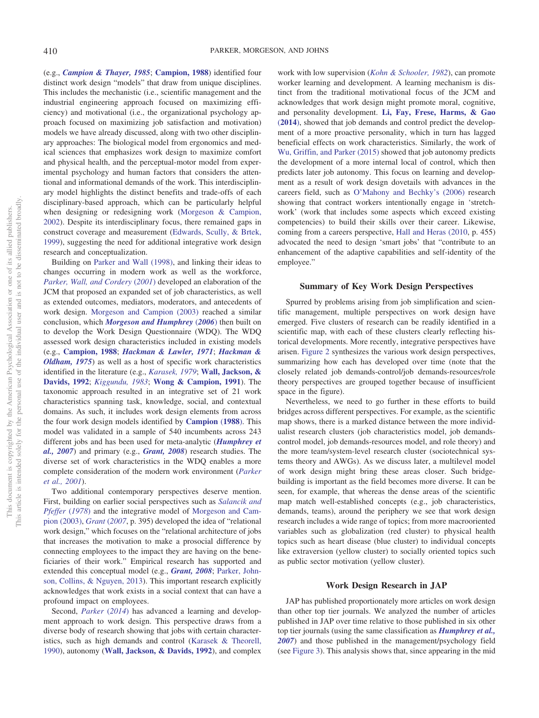(e.g., *[Campion & Thayer, 1985](#page-13-7)*; **[Campion, 1988](#page-13-8)**) identified four distinct work design "models" that draw from unique disciplines. This includes the mechanistic (i.e., scientific management and the industrial engineering approach focused on maximizing efficiency) and motivational (i.e., the organizational psychology approach focused on maximizing job satisfaction and motivation) models we have already discussed, along with two other disciplinary approaches: The biological model from ergonomics and medical sciences that emphasizes work design to maximize comfort and physical health, and the perceptual-motor model from experimental psychology and human factors that considers the attentional and informational demands of the work. This interdisciplinary model highlights the distinct benefits and trade-offs of each disciplinary-based approach, which can be particularly helpful when designing or redesigning work [\(Morgeson & Campion,](#page-15-23) [2002\)](#page-15-23). Despite its interdisciplinary focus, there remained gaps in construct coverage and measurement [\(Edwards, Scully, & Brtek,](#page-14-27) [1999\)](#page-14-27), suggesting the need for additional integrative work design research and conceptualization.

Building on [Parker and Wall \(1998\),](#page-16-7) and linking their ideas to changes occurring in modern work as well as the workforce, *[Parker, Wall, and Cordery](#page-16-25)* (*2001*) developed an elaboration of the JCM that proposed an expanded set of job characteristics, as well as extended outcomes, mediators, moderators, and antecedents of work design. [Morgeson and Campion \(2003\)](#page-15-13) reached a similar conclusion, which *[Morgeson and Humphrey](#page-16-26)* (*2006*) then built on to develop the Work Design Questionnaire (WDQ). The WDQ assessed work design characteristics included in existing models (e.g., **[Campion, 1988](#page-13-8)**; *[Hackman & Lawler, 1971](#page-14-15)*; *[Hackman &](#page-14-10) [Oldham, 1975](#page-14-10)*) as well as a host of specific work characteristics identified in the literature (e.g., *[Karasek, 1979](#page-15-4)*; **[Wall, Jackson, &](#page-17-16) [Davids, 1992](#page-17-16)**; *[Kiggundu, 1983](#page-15-5)*; **[Wong & Campion, 1991](#page-17-1)**). The taxonomic approach resulted in an integrative set of 21 work characteristics spanning task, knowledge, social, and contextual domains. As such, it includes work design elements from across the four work design models identified by **[Campion](#page-13-8)** (**1988**). This model was validated in a sample of 540 incumbents across 243 different jobs and has been used for meta-analytic (*[Humphrey et](#page-15-11) [al., 2007](#page-15-11)*) and primary (e.g., *[Grant, 2008](#page-14-28)*) research studies. The diverse set of work characteristics in the WDQ enables a more complete consideration of the modern work environment (*[Parker](#page-16-25) [et al., 2001](#page-16-25)*).

Two additional contemporary perspectives deserve mention. First, building on earlier social perspectives such as *[Salancik and](#page-16-12) [Pfeffer](#page-16-12)* (*1978*) and the integrative model of [Morgeson and Cam](#page-15-13)[pion \(2003\),](#page-15-13) *[Grant](#page-14-29)* (*2007*, p. 395) developed the idea of "relational work design," which focuses on the "relational architecture of jobs that increases the motivation to make a prosocial difference by connecting employees to the impact they are having on the beneficiaries of their work." Empirical research has supported and extended this conceptual model (e.g., *[Grant, 2008](#page-14-28)*; [Parker, John](#page-16-27)[son, Collins, & Nguyen, 2013\)](#page-16-27). This important research explicitly acknowledges that work exists in a social context that can have a profound impact on employees.

Second, *[Parker](#page-16-3)* (*2014*) has advanced a learning and development approach to work design. This perspective draws from a diverse body of research showing that jobs with certain characteristics, such as high demands and control [\(Karasek & Theorell,](#page-15-15) [1990\)](#page-15-15), autonomy (**[Wall, Jackson, & Davids, 1992](#page-17-16)**), and complex work with low supervision (*[Kohn & Schooler, 1982](#page-15-24)*), can promote worker learning and development. A learning mechanism is distinct from the traditional motivational focus of the JCM and acknowledges that work design might promote moral, cognitive, and personality development. **[Li, Fay, Frese, Harms, & Gao](#page-15-25)** (**[2014](#page-15-25)**), showed that job demands and control predict the development of a more proactive personality, which in turn has lagged beneficial effects on work characteristics. Similarly, the work of [Wu, Griffin, and Parker \(2015\)](#page-17-17) showed that job autonomy predicts the development of a more internal local of control, which then predicts later job autonomy. This focus on learning and development as a result of work design dovetails with advances in the careers field, such as [O'Mahony and Bechky's \(2006\)](#page-16-28) research showing that contract workers intentionally engage in 'stretchwork' (work that includes some aspects which exceed existing competencies) to build their skills over their career. Likewise, coming from a careers perspective, [Hall and Heras \(2010,](#page-14-30) p. 455) advocated the need to design 'smart jobs' that "contribute to an enhancement of the adaptive capabilities and self-identity of the employee."

#### **Summary of Key Work Design Perspectives**

Spurred by problems arising from job simplification and scientific management, multiple perspectives on work design have emerged. Five clusters of research can be readily identified in a scientific map, with each of these clusters clearly reflecting historical developments. More recently, integrative perspectives have arisen. [Figure 2](#page-8-0) synthesizes the various work design perspectives, summarizing how each has developed over time (note that the closely related job demands-control/job demands-resources/role theory perspectives are grouped together because of insufficient space in the figure).

Nevertheless, we need to go further in these efforts to build bridges across different perspectives. For example, as the scientific map shows, there is a marked distance between the more individualist research clusters (job characteristics model, job demandscontrol model, job demands-resources model, and role theory) and the more team/system-level research cluster (sociotechnical systems theory and AWGs). As we discuss later, a multilevel model of work design might bring these areas closer. Such bridgebuilding is important as the field becomes more diverse. It can be seen, for example, that whereas the dense areas of the scientific map match well-established concepts (e.g., job characteristics, demands, teams), around the periphery we see that work design research includes a wide range of topics; from more macrooriented variables such as globalization (red cluster) to physical health topics such as heart disease (blue cluster) to individual concepts like extraversion (yellow cluster) to socially oriented topics such as public sector motivation (yellow cluster).

## **Work Design Research in JAP**

JAP has published proportionately more articles on work design than other top tier journals. We analyzed the number of articles published in JAP over time relative to those published in six other top tier journals (using the same classification as *[Humphrey et al.,](#page-15-11) [2007](#page-15-11)*) and those published in the management/psychology field (see [Figure 3\)](#page-9-0). This analysis shows that, since appearing in the mid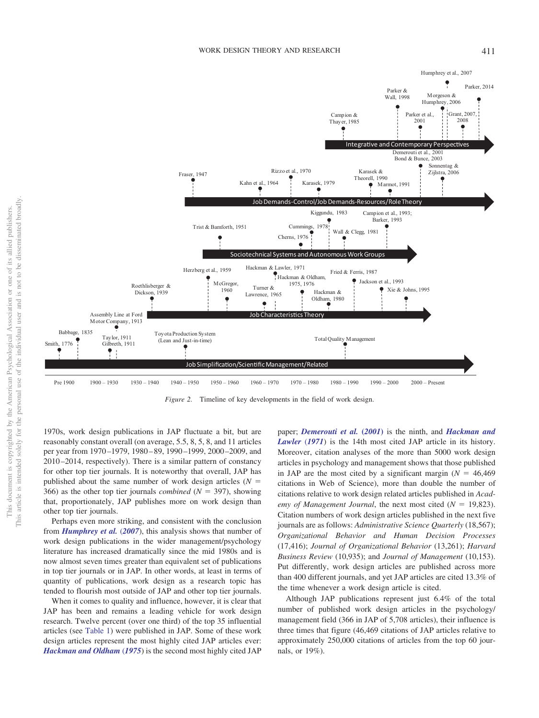

<span id="page-8-0"></span>*Figure 2.* Timeline of key developments in the field of work design.

1970s, work design publications in JAP fluctuate a bit, but are reasonably constant overall (on average, 5.5, 8, 5, 8, and 11 articles per year from 1970 –1979, 1980 – 89, 1990 –1999, 2000 –2009, and 2010 –2014, respectively). There is a similar pattern of constancy for other top tier journals. It is noteworthy that overall, JAP has published about the same number of work design articles  $(N =$ 366) as the other top tier journals *combined* ( $N = 397$ ), showing that, proportionately, JAP publishes more on work design than other top tier journals.

Perhaps even more striking, and consistent with the conclusion from *[Humphrey et al.](#page-15-11)* (*2007*), this analysis shows that number of work design publications in the wider management/psychology literature has increased dramatically since the mid 1980s and is now almost seven times greater than equivalent set of publications in top tier journals or in JAP. In other words, at least in terms of quantity of publications, work design as a research topic has tended to flourish most outside of JAP and other top tier journals.

When it comes to quality and influence, however, it is clear that JAP has been and remains a leading vehicle for work design research. Twelve percent (over one third) of the top 35 influential articles (see [Table 1\)](#page-2-0) were published in JAP. Some of these work design articles represent the most highly cited JAP articles ever: *[Hackman and Oldham](#page-14-10)* (*1975*) is the second most highly cited JAP

paper; *[Demerouti et al.](#page-14-21)* **(***2001***)** is the ninth, and *[Hackman and](#page-14-15) [Lawler](#page-14-15)* (*1971*) is the 14th most cited JAP article in its history. Moreover, citation analyses of the more than 5000 work design articles in psychology and management shows that those published in JAP are the most cited by a significant margin  $(N = 46,469)$ citations in Web of Science), more than double the number of citations relative to work design related articles published in *Academy of Management Journal*, the next most cited ( $N = 19,823$ ). Citation numbers of work design articles published in the next five journals are as follows: *Administrative Science Quarterly* (18,567); *Organizational Behavior and Human Decision Processes* (17,416); *Journal of Organizational Behavior* (13,261); *Harvard Business Review* (10,935); and *Journal of Management* (10,153). Put differently, work design articles are published across more than 400 different journals, and yet JAP articles are cited 13.3% of the time whenever a work design article is cited.

Although JAP publications represent just 6.4% of the total number of published work design articles in the psychology/ management field (366 in JAP of 5,708 articles), their influence is three times that figure (46,469 citations of JAP articles relative to approximately 250,000 citations of articles from the top 60 journals, or 19%).

Humphrey et al., 2007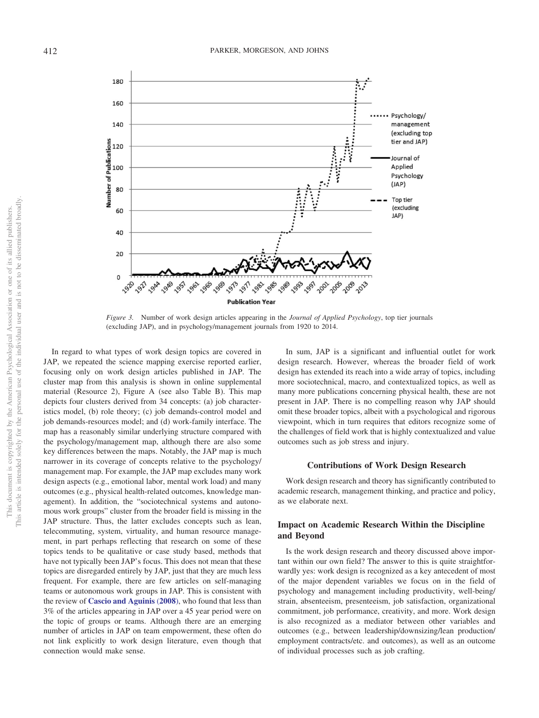

<span id="page-9-0"></span>*Figure 3.* Number of work design articles appearing in the *Journal of Applied Psychology*, top tier journals (excluding JAP), and in psychology/management journals from 1920 to 2014.

In regard to what types of work design topics are covered in JAP, we repeated the science mapping exercise reported earlier, focusing only on work design articles published in JAP. The cluster map from this analysis is shown in online supplemental material (Resource 2), Figure A (see also Table B). This map depicts four clusters derived from 34 concepts: (a) job characteristics model, (b) role theory; (c) job demands-control model and job demands-resources model; and (d) work-family interface. The map has a reasonably similar underlying structure compared with the psychology/management map, although there are also some key differences between the maps. Notably, the JAP map is much narrower in its coverage of concepts relative to the psychology/ management map. For example, the JAP map excludes many work design aspects (e.g., emotional labor, mental work load) and many outcomes (e.g., physical health-related outcomes, knowledge management). In addition, the "sociotechnical systems and autonomous work groups" cluster from the broader field is missing in the JAP structure. Thus, the latter excludes concepts such as lean, telecommuting, system, virtuality, and human resource management, in part perhaps reflecting that research on some of these topics tends to be qualitative or case study based, methods that have not typically been JAP's focus. This does not mean that these topics are disregarded entirely by JAP, just that they are much less frequent. For example, there are few articles on self-managing teams or autonomous work groups in JAP. This is consistent with the review of **[Cascio and Aguinis](#page-13-9)** (**2008**), who found that less than 3% of the articles appearing in JAP over a 45 year period were on the topic of groups or teams. Although there are an emerging number of articles in JAP on team empowerment, these often do not link explicitly to work design literature, even though that connection would make sense.

In sum, JAP is a significant and influential outlet for work design research. However, whereas the broader field of work design has extended its reach into a wide array of topics, including more sociotechnical, macro, and contextualized topics, as well as many more publications concerning physical health, these are not present in JAP. There is no compelling reason why JAP should omit these broader topics, albeit with a psychological and rigorous viewpoint, which in turn requires that editors recognize some of the challenges of field work that is highly contextualized and value outcomes such as job stress and injury.

## **Contributions of Work Design Research**

Work design research and theory has significantly contributed to academic research, management thinking, and practice and policy, as we elaborate next.

# **Impact on Academic Research Within the Discipline and Beyond**

Is the work design research and theory discussed above important within our own field? The answer to this is quite straightforwardly yes: work design is recognized as a key antecedent of most of the major dependent variables we focus on in the field of psychology and management including productivity, well-being/ strain, absenteeism, presenteeism, job satisfaction, organizational commitment, job performance, creativity, and more. Work design is also recognized as a mediator between other variables and outcomes (e.g., between leadership/downsizing/lean production/ employment contracts/etc. and outcomes), as well as an outcome of individual processes such as job crafting.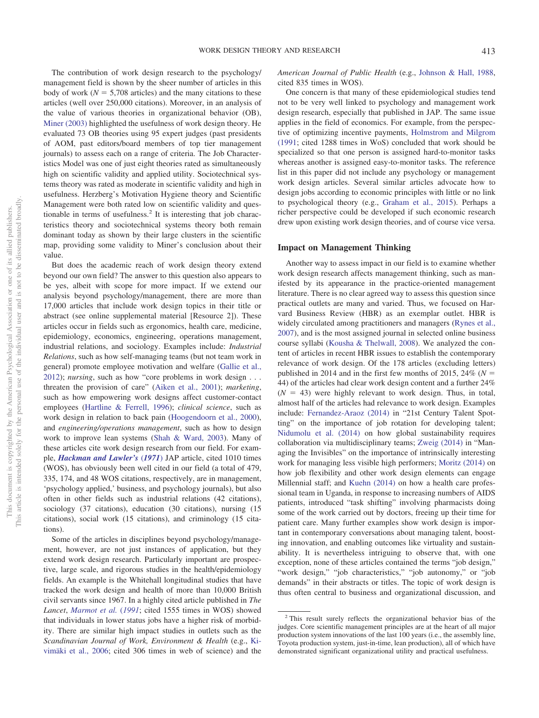The contribution of work design research to the psychology/ management field is shown by the sheer number of articles in this body of work ( $N = 5,708$  articles) and the many citations to these articles (well over 250,000 citations). Moreover, in an analysis of the value of various theories in organizational behavior (OB), [Miner \(2003\)](#page-15-26) highlighted the usefulness of work design theory. He evaluated 73 OB theories using 95 expert judges (past presidents of AOM, past editors/board members of top tier management journals) to assess each on a range of criteria. The Job Characteristics Model was one of just eight theories rated as simultaneously high on scientific validity and applied utility. Sociotechnical systems theory was rated as moderate in scientific validity and high in usefulness. Herzberg's Motivation Hygiene theory and Scientific Management were both rated low on scientific validity and questionable in terms of usefulness.<sup>2</sup> It is interesting that job characteristics theory and sociotechnical systems theory both remain dominant today as shown by their large clusters in the scientific map, providing some validity to Miner's conclusion about their value.

But does the academic reach of work design theory extend beyond our own field? The answer to this question also appears to be yes, albeit with scope for more impact. If we extend our analysis beyond psychology/management, there are more than 17,000 articles that include work design topics in their title or abstract (see online supplemental material [Resource 2]). These articles occur in fields such as ergonomics, health care, medicine, epidemiology, economics, engineering, operations management, industrial relations, and sociology. Examples include: *Industrial Relations*, such as how self-managing teams (but not team work in general) promote employee motivation and welfare [\(Gallie et al.,](#page-14-31) [2012\)](#page-14-31); *nursing*, such as how "core problems in work design... threaten the provision of care" [\(Aiken et al., 2001\)](#page-13-10); *marketing*, such as how empowering work designs affect customer-contact employees [\(Hartline & Ferrell, 1996\)](#page-14-32); *clinical science*, such as work design in relation to back pain [\(Hoogendoorn et al., 2000\)](#page-15-27), and *engineering/operations management*, such as how to design work to improve lean systems [\(Shah & Ward, 2003\)](#page-16-29). Many of these articles cite work design research from our field. For example, *[Hackman and Lawler's](#page-14-15)* (*1971*) JAP article, cited 1010 times (WOS), has obviously been well cited in our field (a total of 479, 335, 174, and 48 WOS citations, respectively, are in management, 'psychology applied,' business, and psychology journals), but also often in other fields such as industrial relations (42 citations), sociology (37 citations), education (30 citations), nursing (15 citations), social work (15 citations), and criminology (15 citations).

Some of the articles in disciplines beyond psychology/management, however, are not just instances of application, but they extend work design research. Particularly important are prospective, large scale, and rigorous studies in the health/epidemiology fields. An example is the Whitehall longitudinal studies that have tracked the work design and health of more than 10,000 British civil servants since 1967. In a highly cited article published in *The Lancet*, *[Marmot et al.](#page-15-28)* (*1991*; cited 1555 times in WOS) showed that individuals in lower status jobs have a higher risk of morbidity. There are similar high impact studies in outlets such as the *Scandinavian Journal of Work, Environment & Health* (e.g., [Ki](#page-15-29)[vimäki et al., 2006;](#page-15-29) cited 306 times in web of science) and the *American Journal of Public Health* (e.g., [Johnson & Hall, 1988,](#page-15-16) cited 835 times in WOS).

One concern is that many of these epidemiological studies tend not to be very well linked to psychology and management work design research, especially that published in JAP. The same issue applies in the field of economics. For example, from the perspective of optimizing incentive payments, [Holmstrom and Milgrom](#page-15-30) [\(1991;](#page-15-30) cited 1288 times in WoS) concluded that work should be specialized so that one person is assigned hard-to-monitor tasks whereas another is assigned easy-to-monitor tasks. The reference list in this paper did not include any psychology or management work design articles. Several similar articles advocate how to design jobs according to economic principles with little or no link to psychological theory (e.g., [Graham et al., 2015\)](#page-14-33). Perhaps a richer perspective could be developed if such economic research drew upon existing work design theories, and of course vice versa.

## **Impact on Management Thinking**

Another way to assess impact in our field is to examine whether work design research affects management thinking, such as manifested by its appearance in the practice-oriented management literature. There is no clear agreed way to assess this question since practical outlets are many and varied. Thus, we focused on Harvard Business Review (HBR) as an exemplar outlet. HBR is widely circulated among practitioners and managers [\(Rynes et al.,](#page-16-30) [2007\)](#page-16-30), and is the most assigned journal in selected online business course syllabi [\(Kousha & Thelwall, 2008\)](#page-15-31). We analyzed the content of articles in recent HBR issues to establish the contemporary relevance of work design. Of the 178 articles (excluding letters) published in 2014 and in the first few months of 2015,  $24\%$  ( $N =$ 44) of the articles had clear work design content and a further 24%  $(N = 43)$  were highly relevant to work design. Thus, in total, almost half of the articles had relevance to work design. Examples include: [Fernandez-Araoz \(2014\)](#page-14-34) in "21st Century Talent Spotting" on the importance of job rotation for developing talent; [Nidumolu et al. \(2014\)](#page-16-31) on how global sustainability requires collaboration via multidisciplinary teams; [Zweig \(2014\)](#page-17-18) in "Managing the Invisibles" on the importance of intrinsically interesting work for managing less visible high performers; [Moritz \(2014\)](#page-16-32) on how job flexibility and other work design elements can engage Millennial staff; and [Kuehn \(2014\)](#page-15-32) on how a health care professional team in Uganda, in response to increasing numbers of AIDS patients, introduced "task shifting" involving pharmacists doing some of the work carried out by doctors, freeing up their time for patient care. Many further examples show work design is important in contemporary conversations about managing talent, boosting innovation, and enabling outcomes like virtuality and sustainability. It is nevertheless intriguing to observe that, with one exception, none of these articles contained the terms "job design," "work design," "job characteristics," "job autonomy," or "job demands" in their abstracts or titles. The topic of work design is thus often central to business and organizational discussion, and

<sup>2</sup> This result surely reflects the organizational behavior bias of the judges. Core scientific management principles are at the heart of all major production system innovations of the last 100 years (i.e., the assembly line, Toyota production system, just-in-time, lean production), all of which have demonstrated significant organizational utility and practical usefulness.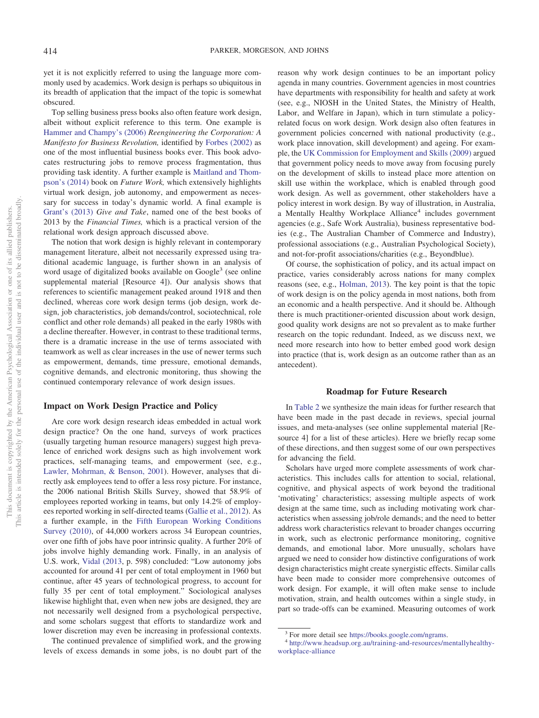yet it is not explicitly referred to using the language more commonly used by academics. Work design is perhaps so ubiquitous in its breadth of application that the impact of the topic is somewhat obscured.

Top selling business press books also often feature work design, albeit without explicit reference to this term. One example is [Hammer and Champy's \(2006\)](#page-14-35) *Reengineering the Corporation: A Manifesto for Business Revolution,* identified by [Forbes \(2002\)](#page-14-36) as one of the most influential business books ever. This book advocates restructuring jobs to remove process fragmentation, thus providing task identity. A further example is [Maitland and Thom](#page-15-33)[pson's \(2014\)](#page-15-33) book on *Future Work,* which extensively highlights virtual work design, job autonomy, and empowerment as necessary for success in today's dynamic world. A final example is [Grant's \(2013\)](#page-14-37) *Give and Take*, named one of the best books of 2013 by the *Financial Times,* which is a practical version of the relational work design approach discussed above.

The notion that work design is highly relevant in contemporary management literature, albeit not necessarily expressed using traditional academic language, is further shown in an analysis of word usage of digitalized books available on Google<sup>3</sup> (see online supplemental material [Resource 4]). Our analysis shows that references to scientific management peaked around 1918 and then declined, whereas core work design terms (job design, work design, job characteristics, job demands/control, sociotechnical, role conflict and other role demands) all peaked in the early 1980s with a decline thereafter. However, in contrast to these traditional terms, there is a dramatic increase in the use of terms associated with teamwork as well as clear increases in the use of newer terms such as empowerment, demands, time pressure, emotional demands, cognitive demands, and electronic monitoring, thus showing the continued contemporary relevance of work design issues.

#### **Impact on Work Design Practice and Policy**

Are core work design research ideas embedded in actual work design practice? On the one hand, surveys of work practices (usually targeting human resource managers) suggest high prevalence of enriched work designs such as high involvement work practices, self-managing teams, and empowerment (see, e.g., [Lawler, Mohrman, & Benson, 2001\)](#page-15-34). However, analyses that directly ask employees tend to offer a less rosy picture. For instance, the 2006 national British Skills Survey, showed that 58.9% of employees reported working in teams, but only 14.2% of employees reported working in self-directed teams [\(Gallie et al., 2012\)](#page-14-31). As a further example, in the [Fifth European Working Conditions](#page-14-38) [Survey \(2010\),](#page-14-38) of 44,000 workers across 34 European countries, over one fifth of jobs have poor intrinsic quality. A further 20% of jobs involve highly demanding work. Finally, in an analysis of U.S. work, [Vidal \(2013,](#page-17-19) p. 598) concluded: "Low autonomy jobs accounted for around 41 per cent of total employment in 1960 but continue, after 45 years of technological progress, to account for fully 35 per cent of total employment." Sociological analyses likewise highlight that, even when new jobs are designed, they are not necessarily well designed from a psychological perspective, and some scholars suggest that efforts to standardize work and lower discretion may even be increasing in professional contexts.

The continued prevalence of simplified work, and the growing levels of excess demands in some jobs, is no doubt part of the reason why work design continues to be an important policy agenda in many countries. Government agencies in most countries have departments with responsibility for health and safety at work (see, e.g., NIOSH in the United States, the Ministry of Health, Labor, and Welfare in Japan), which in turn stimulate a policyrelated focus on work design. Work design also often features in government policies concerned with national productivity (e.g., work place innovation, skill development) and ageing. For example, the [UK Commission for Employment and Skills \(2009\)](#page-17-20) argued that government policy needs to move away from focusing purely on the development of skills to instead place more attention on skill use within the workplace, which is enabled through good work design. As well as government, other stakeholders have a policy interest in work design. By way of illustration, in Australia, a Mentally Healthy Workplace Alliance<sup>4</sup> includes government agencies (e.g., Safe Work Australia), business representative bodies (e.g., The Australian Chamber of Commerce and Industry), professional associations (e.g., Australian Psychological Society), and not-for-profit associations/charities (e.g., Beyondblue).

Of course, the sophistication of policy, and its actual impact on practice, varies considerably across nations for many complex reasons (see, e.g., [Holman, 2013\)](#page-14-39). The key point is that the topic of work design is on the policy agenda in most nations, both from an economic and a health perspective. And it should be. Although there is much practitioner-oriented discussion about work design, good quality work designs are not so prevalent as to make further research on the topic redundant. Indeed, as we discuss next, we need more research into how to better embed good work design into practice (that is, work design as an outcome rather than as an antecedent).

#### **Roadmap for Future Research**

In [Table 2](#page-12-0) we synthesize the main ideas for further research that have been made in the past decade in reviews, special journal issues, and meta-analyses (see online supplemental material [Resource 4] for a list of these articles). Here we briefly recap some of these directions, and then suggest some of our own perspectives for advancing the field.

Scholars have urged more complete assessments of work characteristics. This includes calls for attention to social, relational, cognitive, and physical aspects of work beyond the traditional 'motivating' characteristics; assessing multiple aspects of work design at the same time, such as including motivating work characteristics when assessing job/role demands; and the need to better address work characteristics relevant to broader changes occurring in work, such as electronic performance monitoring, cognitive demands, and emotional labor. More unusually, scholars have argued we need to consider how distinctive configurations of work design characteristics might create synergistic effects. Similar calls have been made to consider more comprehensive outcomes of work design. For example, it will often make sense to include motivation, strain, and health outcomes within a single study, in part so trade-offs can be examined. Measuring outcomes of work

<sup>3</sup> For more detail see [https://books.google.com/ngrams.](https://books.google.com/ngrams) <sup>4</sup> [http://www.headsup.org.au/training-and-resources/mentallyhealthy](http://www.headsup.org.au/training-and-resources/mentallyhealthy-workplace-alliance)[workplace-alliance](http://www.headsup.org.au/training-and-resources/mentallyhealthy-workplace-alliance)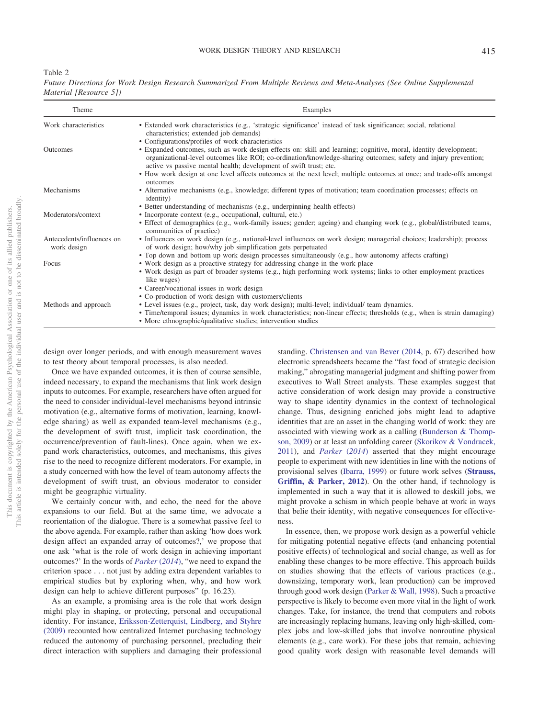| Outcor           |
|------------------|
|                  |
| Mecha            |
| Modera           |
| Antece<br>worl   |
| Focus            |
|                  |
| Metho            |
|                  |
| design           |
| to test          |
| Onc              |
| indeed           |
| inputs           |
| the ne           |
| motiva<br>edge s |
| the de           |
| occurr           |
| pand v           |
| rise to          |
| a stud           |
| develo           |
| might            |
| We               |
| expan            |
| reorier          |

 $\frac{1}{2}$  for  $\frac{1}{2}$   $\frac{1}{2}$   $\frac{1}{2}$   $\frac{1}{2}$   $\frac{1}{2}$ 

<span id="page-12-0"></span>Table 2

| Future Directions for Work Design Research Summarized From Multiple Reviews and Meta-Analyses (See Online Supplemental |  |  |  |  |  |  |  |
|------------------------------------------------------------------------------------------------------------------------|--|--|--|--|--|--|--|
| Material [Resource 5])                                                                                                 |  |  |  |  |  |  |  |

| Theme                                    | Examples                                                                                                                                                                                                                                                                                                 |  |  |  |  |  |  |
|------------------------------------------|----------------------------------------------------------------------------------------------------------------------------------------------------------------------------------------------------------------------------------------------------------------------------------------------------------|--|--|--|--|--|--|
| Work characteristics                     | • Extended work characteristics (e.g., 'strategic significance' instead of task significance; social, relational<br>characteristics; extended job demands)                                                                                                                                               |  |  |  |  |  |  |
|                                          | • Configurations/profiles of work characteristics                                                                                                                                                                                                                                                        |  |  |  |  |  |  |
| Outcomes                                 | • Expanded outcomes, such as work design effects on: skill and learning; cognitive, moral, identity development;<br>organizational-level outcomes like ROI; co-ordination/knowledge-sharing outcomes; safety and injury prevention;<br>active vs passive mental health; development of swift trust; etc. |  |  |  |  |  |  |
|                                          | • How work design at one level affects outcomes at the next level; multiple outcomes at once; and trade-offs amongst<br>outcomes                                                                                                                                                                         |  |  |  |  |  |  |
| Mechanisms                               | • Alternative mechanisms (e.g., knowledge; different types of motivation; team coordination processes; effects on<br><i>identity</i> )                                                                                                                                                                   |  |  |  |  |  |  |
|                                          | • Better understanding of mechanisms (e.g., underpinning health effects)                                                                                                                                                                                                                                 |  |  |  |  |  |  |
| Moderators/context                       | • Incorporate context (e.g., occupational, cultural, etc.)                                                                                                                                                                                                                                               |  |  |  |  |  |  |
|                                          | • Effect of demographics (e.g., work-family issues; gender; ageing) and changing work (e.g., global/distributed teams,<br>communities of practice)                                                                                                                                                       |  |  |  |  |  |  |
| Antecedents/influences on<br>work design | • Influences on work design (e.g., national-level influences on work design; managerial choices; leadership); process<br>of work design; how/why job simplification gets perpetuated                                                                                                                     |  |  |  |  |  |  |
|                                          | • Top down and bottom up work design processes simultaneously (e.g., how autonomy affects crafting)                                                                                                                                                                                                      |  |  |  |  |  |  |
| Focus                                    | • Work design as a proactive strategy for addressing change in the work place                                                                                                                                                                                                                            |  |  |  |  |  |  |
|                                          | • Work design as part of broader systems (e.g., high performing work systems; links to other employment practices<br>like wages)                                                                                                                                                                         |  |  |  |  |  |  |
|                                          | • Career/vocational issues in work design                                                                                                                                                                                                                                                                |  |  |  |  |  |  |
|                                          | • Co-production of work design with customers/clients                                                                                                                                                                                                                                                    |  |  |  |  |  |  |
| Methods and approach                     | • Level issues (e.g., project, task, day work design); multi-level; individual/ team dynamics.                                                                                                                                                                                                           |  |  |  |  |  |  |
|                                          | • Time/temporal issues; dynamics in work characteristics; non-linear effects; thresholds (e.g., when is strain damaging)                                                                                                                                                                                 |  |  |  |  |  |  |
|                                          | • More ethnographic/qualitative studies: intervention studies                                                                                                                                                                                                                                            |  |  |  |  |  |  |

over longer periods, and with enough measurement waves theory about temporal processes, is also needed.

be we have expanded outcomes, it is then of course sensible, necessary, to expand the mechanisms that link work design to outcomes. For example, researchers have often argued for ed to consider individual-level mechanisms beyond intrinsic ation (e.g., alternative forms of motivation, learning, knowlsharing) as well as expanded team-level mechanisms (e.g., evelopment of swift trust, implicit task coordination, the ence/prevention of fault-lines). Once again, when we exwork characteristics, outcomes, and mechanisms, this gives the need to recognize different moderators. For example, in a study concerned with how the level of team autonomy affects the development of swift trust, an obvious moderator to consider might be geographic virtuality.

We certainly concur with, and echo, the need for the above expansions to our field. But at the same time, we advocate a reorientation of the dialogue. There is a somewhat passive feel to the above agenda. For example, rather than asking 'how does work design affect an expanded array of outcomes?,' we propose that one ask 'what is the role of work design in achieving important outcomes?' In the words of *[Parker](#page-16-3)* (*2014*), "we need to expand the criterion space . . . not just by adding extra dependent variables to empirical studies but by exploring when, why, and how work design can help to achieve different purposes" (p. 16.23).

As an example, a promising area is the role that work design might play in shaping, or protecting, personal and occupational identity. For instance, [Eriksson-Zetterquist, Lindberg, and Styhre](#page-14-40) [\(2009\)](#page-14-40) recounted how centralized Internet purchasing technology reduced the autonomy of purchasing personnel, precluding their direct interaction with suppliers and damaging their professional

standing. [Christensen and van Bever \(2014,](#page-13-11) p. 67) described how electronic spreadsheets became the "fast food of strategic decision making," abrogating managerial judgment and shifting power from executives to Wall Street analysts. These examples suggest that active consideration of work design may provide a constructive way to shape identity dynamics in the context of technological change. Thus, designing enriched jobs might lead to adaptive identities that are an asset in the changing world of work: they are associated with viewing work as a calling [\(Bunderson & Thomp](#page-13-12)[son, 2009\)](#page-13-12) or at least an unfolding career [\(Skorikov & Vondracek,](#page-16-33) [2011\)](#page-16-33), and *[Parker](#page-16-3)* (*2014*) asserted that they might encourage people to experiment with new identities in line with the notions of provisional selves [\(Ibarra, 1999\)](#page-15-35) or future work selves (**[Strauss,](#page-16-34) [Griffin, & Parker, 2012](#page-16-34)**). On the other hand, if technology is implemented in such a way that it is allowed to deskill jobs, we might provoke a schism in which people behave at work in ways that belie their identity, with negative consequences for effectiveness.

In essence, then, we propose work design as a powerful vehicle for mitigating potential negative effects (and enhancing potential positive effects) of technological and social change, as well as for enabling these changes to be more effective. This approach builds on studies showing that the effects of various practices (e.g., downsizing, temporary work, lean production) can be improved through good work design [\(Parker & Wall, 1998\)](#page-16-7). Such a proactive perspective is likely to become even more vital in the light of work changes. Take, for instance, the trend that computers and robots are increasingly replacing humans, leaving only high-skilled, complex jobs and low-skilled jobs that involve nonroutine physical elements (e.g., care work). For these jobs that remain, achieving good quality work design with reasonable level demands will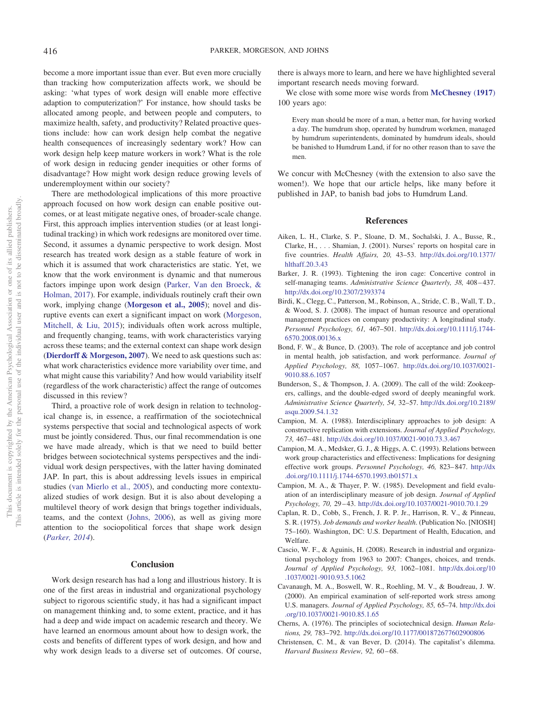become a more important issue than ever. But even more crucially than tracking how computerization affects work, we should be asking: 'what types of work design will enable more effective adaption to computerization?' For instance, how should tasks be allocated among people, and between people and computers, to maximize health, safety, and productivity? Related proactive questions include: how can work design help combat the negative health consequences of increasingly sedentary work? How can work design help keep mature workers in work? What is the role of work design in reducing gender inequities or other forms of disadvantage? How might work design reduce growing levels of underemployment within our society?

There are methodological implications of this more proactive approach focused on how work design can enable positive outcomes, or at least mitigate negative ones, of broader-scale change. First, this approach implies intervention studies (or at least longitudinal tracking) in which work redesigns are monitored over time. Second, it assumes a dynamic perspective to work design. Most research has treated work design as a stable feature of work in which it is assumed that work characteristics are static. Yet, we know that the work environment is dynamic and that numerous factors impinge upon work design [\(Parker, Van den Broeck, &](#page-16-35) [Holman, 2017\)](#page-16-35). For example, individuals routinely craft their own work, implying change (**[Morgeson et al., 2005](#page-15-22)**); novel and disruptive events can exert a significant impact on work [\(Morgeson,](#page-16-36) [Mitchell, & Liu, 2015\)](#page-16-36); individuals often work across multiple, and frequently changing, teams, with work characteristics varying across these teams; and the external context can shape work design (**[Dierdorff & Morgeson, 2007](#page-14-41)**). We need to ask questions such as: what work characteristics evidence more variability over time, and what might cause this variability? And how would variability itself (regardless of the work characteristic) affect the range of outcomes discussed in this review?

Third, a proactive role of work design in relation to technological change is, in essence, a reaffirmation of the sociotechnical systems perspective that social and technological aspects of work must be jointly considered. Thus, our final recommendation is one we have made already, which is that we need to build better bridges between sociotechnical systems perspectives and the individual work design perspectives, with the latter having dominated JAP. In part, this is about addressing levels issues in empirical studies [\(van Mierlo et al., 2005\)](#page-17-7), and conducting more contextualized studies of work design. But it is also about developing a multilevel theory of work design that brings together individuals, teams, and the context [\(Johns, 2006\)](#page-15-36), as well as giving more attention to the sociopolitical forces that shape work design (*[Parker, 2014](#page-16-3)*).

#### **Conclusion**

Work design research has had a long and illustrious history. It is one of the first areas in industrial and organizational psychology subject to rigorous scientific study, it has had a significant impact on management thinking and, to some extent, practice, and it has had a deep and wide impact on academic research and theory. We have learned an enormous amount about how to design work, the costs and benefits of different types of work design, and how and why work design leads to a diverse set of outcomes. Of course,

there is always more to learn, and here we have highlighted several important research needs moving forward.

We close with some more wise words from **[McChesney](#page-15-0)** (**1917**) 100 years ago:

Every man should be more of a man, a better man, for having worked a day. The humdrum shop, operated by humdrum workmen, managed by humdrum superintendents, dominated by humdrum ideals, should be banished to Humdrum Land, if for no other reason than to save the men.

We concur with McChesney (with the extension to also save the women!). We hope that our article helps, like many before it published in JAP, to banish bad jobs to Humdrum Land.

#### **References**

- <span id="page-13-10"></span>Aiken, L. H., Clarke, S. P., Sloane, D. M., Sochalski, J. A., Busse, R., Clarke, H.,... Shamian, J. (2001). Nurses' reports on hospital care in five countries. *Health Affairs, 20,* 43–53. [http://dx.doi.org/10.1377/](http://dx.doi.org/10.1377/hlthaff.20.3.43) [hlthaff.20.3.43](http://dx.doi.org/10.1377/hlthaff.20.3.43)
- <span id="page-13-1"></span>Barker, J. R. (1993). Tightening the iron cage: Concertive control in self-managing teams. *Administrative Science Quarterly*, 38, 408-437. <http://dx.doi.org/10.2307/2393374>
- <span id="page-13-3"></span>Birdi, K., Clegg, C., Patterson, M., Robinson, A., Stride, C. B., Wall, T. D., & Wood, S. J. (2008). The impact of human resource and operational management practices on company productivity: A longitudinal study. *Personnel Psychology, 61,* 467–501. [http://dx.doi.org/10.1111/j.1744-](http://dx.doi.org/10.1111/j.1744-6570.2008.00136.x) [6570.2008.00136.x](http://dx.doi.org/10.1111/j.1744-6570.2008.00136.x)
- <span id="page-13-5"></span>Bond, F. W., & Bunce, D. (2003). The role of acceptance and job control in mental health, job satisfaction, and work performance. *Journal of Applied Psychology, 88,* 1057–1067. [http://dx.doi.org/10.1037/0021-](http://dx.doi.org/10.1037/0021-9010.88.6.1057) [9010.88.6.1057](http://dx.doi.org/10.1037/0021-9010.88.6.1057)
- <span id="page-13-12"></span>Bunderson, S., & Thompson, J. A. (2009). The call of the wild: Zookeepers, callings, and the double-edged sword of deeply meaningful work. *Administrative Science Quarterly, 54,* 32–57. [http://dx.doi.org/10.2189/](http://dx.doi.org/10.2189/asqu.2009.54.1.32) [asqu.2009.54.1.32](http://dx.doi.org/10.2189/asqu.2009.54.1.32)
- <span id="page-13-8"></span>Campion, M. A. (1988). Interdisciplinary approaches to job design: A constructive replication with extensions. *Journal of Applied Psychology, 73,* 467– 481. <http://dx.doi.org/10.1037/0021-9010.73.3.467>
- <span id="page-13-2"></span>Campion, M. A., Medsker, G. J., & Higgs, A. C. (1993). Relations between work group characteristics and effectiveness: Implications for designing effective work groups. *Personnel Psychology, 46,* 823– 847. [http://dx](http://dx.doi.org/10.1111/j.1744-6570.1993.tb01571.x) [.doi.org/10.1111/j.1744-6570.1993.tb01571.x](http://dx.doi.org/10.1111/j.1744-6570.1993.tb01571.x)
- <span id="page-13-7"></span>Campion, M. A., & Thayer, P. W. (1985). Development and field evaluation of an interdisciplinary measure of job design. *Journal of Applied Psychology, 70,* 29 – 43. <http://dx.doi.org/10.1037/0021-9010.70.1.29>
- <span id="page-13-4"></span>Caplan, R. D., Cobb, S., French, J. R. P. Jr., Harrison, R. V., & Pinneau, S. R. (1975). *Job demands and worker health*. (Publication No. [NIOSH] 75–160). Washington, DC: U.S. Department of Health, Education, and Welfare.
- <span id="page-13-9"></span>Cascio, W. F., & Aguinis, H. (2008). Research in industrial and organizational psychology from 1963 to 2007: Changes, choices, and trends. *Journal of Applied Psychology, 93,* 1062–1081. [http://dx.doi.org/10](http://dx.doi.org/10.1037/0021-9010.93.5.1062) [.1037/0021-9010.93.5.1062](http://dx.doi.org/10.1037/0021-9010.93.5.1062)
- <span id="page-13-6"></span>Cavanaugh, M. A., Boswell, W. R., Roehling, M. V., & Boudreau, J. W. (2000). An empirical examination of self-reported work stress among U.S. managers. *Journal of Applied Psychology, 85,* 65–74. [http://dx.doi](http://dx.doi.org/10.1037/0021-9010.85.1.65) [.org/10.1037/0021-9010.85.1.65](http://dx.doi.org/10.1037/0021-9010.85.1.65)
- <span id="page-13-0"></span>Cherns, A. (1976). The principles of sociotechnical design. *Human Relations, 29,* 783–792. <http://dx.doi.org/10.1177/001872677602900806>
- <span id="page-13-11"></span>Christensen, C. M., & van Bever, D. (2014). The capitalist's dilemma. *Harvard Business Review, 92,* 60 – 68.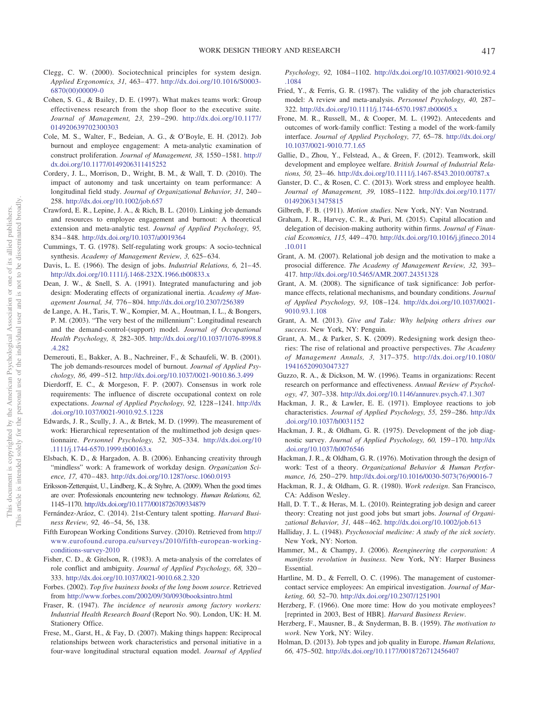- <span id="page-14-8"></span>Clegg, C. W. (2000). Sociotechnical principles for system design. *Applied Ergonomics, 31,* 463– 477. [http://dx.doi.org/10.1016/S0003-](http://dx.doi.org/10.1016/S0003-6870%2800%2900009-0) [6870\(00\)00009-0](http://dx.doi.org/10.1016/S0003-6870%2800%2900009-0)
- <span id="page-14-5"></span>Cohen, S. G., & Bailey, D. E. (1997). What makes teams work: Group effectiveness research from the shop floor to the executive suite. *Journal of Management, 23,* 239 –290. [http://dx.doi.org/10.1177/](http://dx.doi.org/10.1177/014920639702300303) [014920639702300303](http://dx.doi.org/10.1177/014920639702300303)
- <span id="page-14-22"></span>Cole, M. S., Walter, F., Bedeian, A. G., & O'Boyle, E. H. (2012). Job burnout and employee engagement: A meta-analytic examination of construct proliferation. *Journal of Management*, 38, 1550-1581. [http://](http://dx.doi.org/10.1177/0149206311415252) [dx.doi.org/10.1177/0149206311415252](http://dx.doi.org/10.1177/0149206311415252)
- <span id="page-14-7"></span>Cordery, J. L., Morrison, D., Wright, B. M., & Wall, T. D. (2010). The impact of autonomy and task uncertainty on team performance: A longitudinal field study. *Journal of Organizational Behavior, 31,* 240 – 258. <http://dx.doi.org/10.1002/job.657>
- <span id="page-14-17"></span>Crawford, E. R., Lepine, J. A., & Rich, B. L. (2010). Linking job demands and resources to employee engagement and burnout: A theoretical extension and meta-analytic test. *Journal of Applied Psychology, 95,* 834 – 848. <http://dx.doi.org/10.1037/a0019364>
- <span id="page-14-4"></span>Cummings, T. G. (1978). Self-regulating work groups: A socio-technical synthesis. *Academy of Management Review, 3, 625–634.*
- <span id="page-14-1"></span>Davis, L. E. (1966). The design of jobs. *Industrial Relations*, 6, 21-45. <http://dx.doi.org/10.1111/j.1468-232X.1966.tb00833.x>
- <span id="page-14-9"></span>Dean, J. W., & Snell, S. A. (1991). Integrated manufacturing and job design: Moderating effects of organizational inertia. *Academy of Management Journal, 34,* 776 – 804. <http://dx.doi.org/10.2307/256389>
- <span id="page-14-19"></span>de Lange, A. H., Taris, T. W., Kompier, M. A., Houtman, I. L., & Bongers, P. M. (2003). "The very best of the millennium": Longitudinal research and the demand-control-(support) model. *Journal of Occupational Health Psychology, 8,* 282–305. [http://dx.doi.org/10.1037/1076-8998.8](http://dx.doi.org/10.1037/1076-8998.8.4.282) [.4.282](http://dx.doi.org/10.1037/1076-8998.8.4.282)
- <span id="page-14-21"></span>Demerouti, E., Bakker, A. B., Nachreiner, F., & Schaufeli, W. B. (2001). The job demands-resources model of burnout. *Journal of Applied Psychology, 86,* 499 –512. <http://dx.doi.org/10.1037/0021-9010.86.3.499>
- <span id="page-14-41"></span>Dierdorff, E. C., & Morgeson, F. P. (2007). Consensus in work role requirements: The influence of discrete occupational context on role expectations. *Journal of Applied Psychology, 92,* 1228 –1241. [http://dx](http://dx.doi.org/10.1037/0021-9010.92.5.1228) [.doi.org/10.1037/0021-9010.92.5.1228](http://dx.doi.org/10.1037/0021-9010.92.5.1228)
- <span id="page-14-27"></span>Edwards, J. R., Scully, J. A., & Brtek, M. D. (1999). The measurement of work: Hierarchical representation of the multimethod job design questionnaire. *Personnel Psychology, 52,* 305–334. [http://dx.doi.org/10](http://dx.doi.org/10.1111/j.1744-6570.1999.tb00163.x) [.1111/j.1744-6570.1999.tb00163.x](http://dx.doi.org/10.1111/j.1744-6570.1999.tb00163.x)
- <span id="page-14-20"></span>Elsbach, K. D., & Hargadon, A. B. (2006). Enhancing creativity through "mindless" work: A framework of workday design. Organization Sci*ence, 17,* 470 – 483. <http://dx.doi.org/10.1287/orsc.1060.0193>
- <span id="page-14-40"></span>Eriksson-Zetterquist, U., Lindberg, K., & Styhre, A. (2009). When the good times are over: Professionals encountering new technology. *Human Relations, 62,* 1145–1170. <http://dx.doi.org/10.1177/0018726709334879>
- <span id="page-14-34"></span>Fernández-Aráoz, C. (2014). 21st-Century talent spotting. *Harvard Business Review, 92,* 46 –54, 56, 138.
- <span id="page-14-38"></span>Fifth European Working Conditions Survey. (2010). Retrieved from [http://](http://www.eurofound.europa.eu/surveys/2010/fifth-european-working-conditions-survey-2010) [www.eurofound.europa.eu/surveys/2010/fifth-european-working](http://www.eurofound.europa.eu/surveys/2010/fifth-european-working-conditions-survey-2010)[conditions-survey-2010](http://www.eurofound.europa.eu/surveys/2010/fifth-european-working-conditions-survey-2010)
- <span id="page-14-23"></span>Fisher, C. D., & Gitelson, R. (1983). A meta-analysis of the correlates of role conflict and ambiguity. *Journal of Applied Psychology, 68,* 320 – 333. <http://dx.doi.org/10.1037/0021-9010.68.2.320>
- <span id="page-14-36"></span>Forbes. (2002). *Top five business books of the long boom source*. Retrieved from <http://www.forbes.com/2002/09/30/0930booksintro.html>
- <span id="page-14-2"></span>Fraser, R. (1947). *The incidence of neurosis among factory workers: Industrial Health Research Board* (Report No. 90). London, UK: H. M. Stationery Office.
- <span id="page-14-25"></span>Frese, M., Garst, H., & Fay, D. (2007). Making things happen: Reciprocal relationships between work characteristics and personal initiative in a four-wave longitudinal structural equation model. *Journal of Applied*

*Psychology, 92,* 1084 –1102. [http://dx.doi.org/10.1037/0021-9010.92.4](http://dx.doi.org/10.1037/0021-9010.92.4.1084) [.1084](http://dx.doi.org/10.1037/0021-9010.92.4.1084)

- <span id="page-14-16"></span>Fried, Y., & Ferris, G. R. (1987). The validity of the job characteristics model: A review and meta-analysis. *Personnel Psychology, 40,* 287– 322. <http://dx.doi.org/10.1111/j.1744-6570.1987.tb00605.x>
- <span id="page-14-24"></span>Frone, M. R., Russell, M., & Cooper, M. L. (1992). Antecedents and outcomes of work-family conflict: Testing a model of the work-family interface. *Journal of Applied Psychology, 77,* 65–78. [http://dx.doi.org/](http://dx.doi.org/10.1037/0021-9010.77.1.65) [10.1037/0021-9010.77.1.65](http://dx.doi.org/10.1037/0021-9010.77.1.65)
- <span id="page-14-31"></span>Gallie, D., Zhou, Y., Felstead, A., & Green, F. (2012). Teamwork, skill development and employee welfare. *British Journal of Industrial Relations, 50,* 23– 46. <http://dx.doi.org/10.1111/j.1467-8543.2010.00787.x>
- <span id="page-14-18"></span>Ganster, D. C., & Rosen, C. C. (2013). Work stress and employee health. *Journal of Management, 39,* 1085–1122. [http://dx.doi.org/10.1177/](http://dx.doi.org/10.1177/0149206313475815) [0149206313475815](http://dx.doi.org/10.1177/0149206313475815)
- <span id="page-14-0"></span>Gilbreth, F. B. (1911). *Motion studies*. New York, NY: Van Nostrand.
- <span id="page-14-33"></span>Graham, J. R., Harvey, C. R., & Puri, M. (2015). Capital allocation and delegation of decision-making authority within firms. *Journal of Financial Economics, 115,* 449 – 470. [http://dx.doi.org/10.1016/j.jfineco.2014](http://dx.doi.org/10.1016/j.jfineco.2014.10.011) [.10.011](http://dx.doi.org/10.1016/j.jfineco.2014.10.011)
- <span id="page-14-29"></span>Grant, A. M. (2007). Relational job design and the motivation to make a prosocial difference. *The Academy of Management Review, 32,* 393– 417. <http://dx.doi.org/10.5465/AMR.2007.24351328>
- <span id="page-14-28"></span>Grant, A. M. (2008). The significance of task significance: Job performance effects, relational mechanisms, and boundary conditions. *Journal of Applied Psychology, 93,* 108 –124. [http://dx.doi.org/10.1037/0021-](http://dx.doi.org/10.1037/0021-9010.93.1.108) [9010.93.1.108](http://dx.doi.org/10.1037/0021-9010.93.1.108)
- <span id="page-14-37"></span>Grant, A. M. (2013). *Give and Take: Why helping others drives our success*. New York, NY: Penguin.
- <span id="page-14-26"></span>Grant, A. M., & Parker, S. K. (2009). Redesigning work design theories: The rise of relational and proactive perspectives. *The Academy of Management Annals, 3,* 317–375. [http://dx.doi.org/10.1080/](http://dx.doi.org/10.1080/19416520903047327) [19416520903047327](http://dx.doi.org/10.1080/19416520903047327)
- <span id="page-14-6"></span>Guzzo, R. A., & Dickson, M. W. (1996). Teams in organizations: Recent research on performance and effectiveness. *Annual Review of Psychology, 47,* 307–338. <http://dx.doi.org/10.1146/annurev.psych.47.1.307>
- <span id="page-14-15"></span>Hackman, J. R., & Lawler, E. E. (1971). Employee reactions to job characteristics. *Journal of Applied Psychology, 55,* 259 –286. [http://dx](http://dx.doi.org/10.1037/h0031152) [.doi.org/10.1037/h0031152](http://dx.doi.org/10.1037/h0031152)
- <span id="page-14-10"></span>Hackman, J. R., & Oldham, G. R. (1975). Development of the job diagnostic survey. *Journal of Applied Psychology, 60,* 159 –170. [http://dx](http://dx.doi.org/10.1037/h0076546) [.doi.org/10.1037/h0076546](http://dx.doi.org/10.1037/h0076546)
- <span id="page-14-11"></span>Hackman, J. R., & Oldham, G. R. (1976). Motivation through the design of work: Test of a theory. *Organizational Behavior & Human Performance, 16,* 250 –279. [http://dx.doi.org/10.1016/0030-5073\(76\)90016-7](http://dx.doi.org/10.1016/0030-5073%2876%2990016-7)
- <span id="page-14-12"></span>Hackman, R. J., & Oldham, G. R. (1980). *Work redesign*. San Francisco, CA: Addison Wesley.
- <span id="page-14-30"></span>Hall, D. T. T., & Heras, M. L. (2010). Reintegrating job design and career theory: Creating not just good jobs but smart jobs. *Journal of Organizational Behavior, 31,* 448 – 462. <http://dx.doi.org/10.1002/job.613>
- <span id="page-14-3"></span>Halliday, J. L. (1948). *Psychosocial medicine: A study of the sick society*. New York, NY: Norton.
- <span id="page-14-35"></span>Hammer, M., & Champy, J. (2006). *Reengineering the corporation: A manifesto revolution in business*. New York, NY: Harper Business Essential.
- <span id="page-14-32"></span>Hartline, M. D., & Ferrell, O. C. (1996). The management of customercontact service employees: An empirical investigation. *Journal of Marketing, 60,* 52–70. <http://dx.doi.org/10.2307/1251901>
- <span id="page-14-14"></span>Herzberg, F. (1966). One more time: How do you motivate employees? [reprinted in 2003, Best of HBR]. *Harvard Business Review*.
- <span id="page-14-13"></span>Herzberg, F., Mausner, B., & Snyderman, B. B. (1959). *The motivation to work*. New York, NY: Wiley.
- <span id="page-14-39"></span>Holman, D. (2013). Job types and job quality in Europe. *Human Relations, 66,* 475–502. <http://dx.doi.org/10.1177/0018726712456407>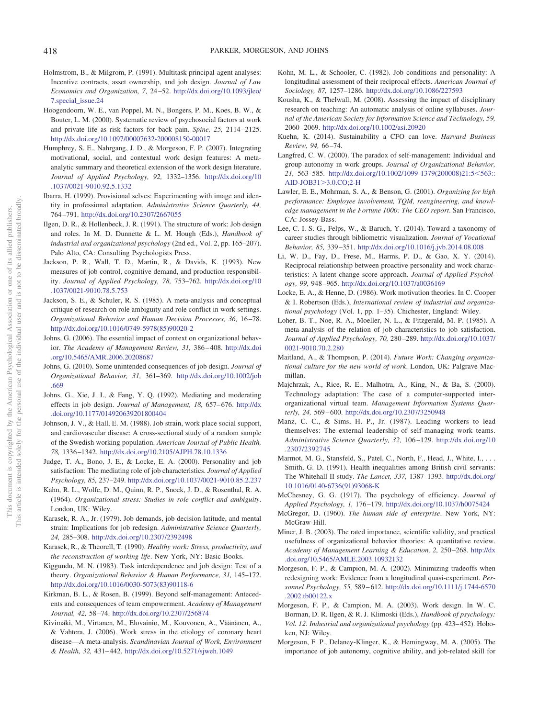- <span id="page-15-30"></span>Holmstrom, B., & Milgrom, P. (1991). Multitask principal-agent analyses: Incentive contracts, asset ownership, and job design. *Journal of Law Economics and Organization, 7,* 24 –52. [http://dx.doi.org/10.1093/jleo/](http://dx.doi.org/10.1093/jleo/7.special_issue.24) [7.special\\_issue.24](http://dx.doi.org/10.1093/jleo/7.special_issue.24)
- <span id="page-15-27"></span>Hoogendoorn, W. E., van Poppel, M. N., Bongers, P. M., Koes, B. W., & Bouter, L. M. (2000). Systematic review of psychosocial factors at work and private life as risk factors for back pain. *Spine, 25,* 2114 –2125. <http://dx.doi.org/10.1097/00007632-200008150-00017>
- <span id="page-15-11"></span>Humphrey, S. E., Nahrgang, J. D., & Morgeson, F. P. (2007). Integrating motivational, social, and contextual work design features: A metaanalytic summary and theoretical extension of the work design literature. *Journal of Applied Psychology, 92,* 1332–1356. [http://dx.doi.org/10](http://dx.doi.org/10.1037/0021-9010.92.5.1332) [.1037/0021-9010.92.5.1332](http://dx.doi.org/10.1037/0021-9010.92.5.1332)
- <span id="page-15-35"></span>Ibarra, H. (1999). Provisional selves: Experimenting with image and identity in professional adaptation. *Administrative Science Quarterly, 44,* 764 –791. <http://dx.doi.org/10.2307/2667055>
- <span id="page-15-2"></span>Ilgen, D. R., & Hollenbeck, J. R. (1991). The structure of work: Job design and roles. In M. D. Dunnette & L. M. Hough (Eds.), *Handbook of industrial and organizational psychology* (2nd ed., Vol. 2, pp. 165–207). Palo Alto, CA: Consulting Psychologists Press.
- <span id="page-15-17"></span>Jackson, P. R., Wall, T. D., Martin, R., & Davids, K. (1993). New measures of job control, cognitive demand, and production responsibility. *Journal of Applied Psychology, 78,* 753–762. [http://dx.doi.org/10](http://dx.doi.org/10.1037/0021-9010.78.5.753) [.1037/0021-9010.78.5.753](http://dx.doi.org/10.1037/0021-9010.78.5.753)
- <span id="page-15-20"></span>Jackson, S. E., & Schuler, R. S. (1985). A meta-analysis and conceptual critique of research on role ambiguity and role conflict in work settings. *Organizational Behavior and Human Decision Processes, 36,* 16 –78. [http://dx.doi.org/10.1016/0749-5978\(85\)90020-2](http://dx.doi.org/10.1016/0749-5978%2885%2990020-2)
- <span id="page-15-36"></span>Johns, G. (2006). The essential impact of context on organizational behavior. *The Academy of Management Review, 31,* 386 – 408. [http://dx.doi](http://dx.doi.org/10.5465/AMR.2006.20208687) [.org/10.5465/AMR.2006.20208687](http://dx.doi.org/10.5465/AMR.2006.20208687)
- <span id="page-15-18"></span>Johns, G. (2010). Some unintended consequences of job design. *Journal of Organizational Behavior, 31,* 361–369. [http://dx.doi.org/10.1002/job](http://dx.doi.org/10.1002/job.669) [.669](http://dx.doi.org/10.1002/job.669)
- <span id="page-15-14"></span>Johns, G., Xie, J. I., & Fang, Y. Q. (1992). Mediating and moderating effects in job design. *Journal of Management*, 18, 657-676. [http://dx](http://dx.doi.org/10.1177/014920639201800404) [.doi.org/10.1177/014920639201800404](http://dx.doi.org/10.1177/014920639201800404)
- <span id="page-15-16"></span>Johnson, J. V., & Hall, E. M. (1988). Job strain, work place social support, and cardiovascular disease: A cross-sectional study of a random sample of the Swedish working population. *American Journal of Public Health, 78,* 1336 –1342. <http://dx.doi.org/10.2105/AJPH.78.10.1336>
- <span id="page-15-21"></span>Judge, T. A., Bono, J. E., & Locke, E. A. (2000). Personality and job satisfaction: The mediating role of job characteristics. *Journal of Applied Psychology, 85,* 237–249. <http://dx.doi.org/10.1037/0021-9010.85.2.237>
- <span id="page-15-19"></span>Kahn, R. L., Wolfe, D. M., Quinn, R. P., Snoek, J. D., & Rosenthal, R. A. (1964). *Organizational stress: Studies in role conflict and ambiguity*. London, UK: Wiley.
- <span id="page-15-4"></span>Karasek, R. A., Jr. (1979). Job demands, job decision latitude, and mental strain: Implications for job redesign. *Administrative Science Quarterly, 24,* 285–308. <http://dx.doi.org/10.2307/2392498>
- <span id="page-15-15"></span>Karasek, R., & Theorell, T. (1990). *Healthy work: Stress, productivity, and the reconstruction of working life*. New York, NY: Basic Books.
- <span id="page-15-5"></span>Kiggundu, M. N. (1983). Task interdependence and job design: Test of a theory. *Organizational Behavior & Human Performance, 31,* 145–172. [http://dx.doi.org/10.1016/0030-5073\(83\)90118-6](http://dx.doi.org/10.1016/0030-5073%2883%2990118-6)
- <span id="page-15-6"></span>Kirkman, B. L., & Rosen, B. (1999). Beyond self-management: Antecedents and consequences of team empowerment. *Academy of Management Journal, 42,* 58 –74. <http://dx.doi.org/10.2307/256874>
- <span id="page-15-29"></span>Kivimäki, M., Virtanen, M., Elovainio, M., Kouvonen, A., Väänänen, A., & Vahtera, J. (2006). Work stress in the etiology of coronary heart disease—A meta-analysis. *Scandinavian Journal of Work, Environment & Health, 32,* 431– 442. <http://dx.doi.org/10.5271/sjweh.1049>
- <span id="page-15-24"></span>Kohn, M. L., & Schooler, C. (1982). Job conditions and personality: A longitudinal assessment of their reciprocal effects. *American Journal of Sociology, 87,* 1257–1286. <http://dx.doi.org/10.1086/227593>
- <span id="page-15-31"></span>Kousha, K., & Thelwall, M. (2008). Assessing the impact of disciplinary research on teaching: An automatic analysis of online syllabuses. *Journal of the American Society for Information Science and Technology, 59,* 2060 –2069. <http://dx.doi.org/10.1002/asi.20920>
- <span id="page-15-32"></span>Kuehn, K. (2014). Sustainability a CFO can love. *Harvard Business Review, 94,* 66 –74.
- <span id="page-15-7"></span>Langfred, C. W. (2000). The paradox of self-management: Individual and group autonomy in work groups. *Journal of Organizational Behavior,* 21, 563-585. [http://dx.doi.org/10.1002/1099-1379\(200008\)21:5](http://dx.doi.org/10.1002/1099-1379%28200008%2921:5%3C563::AID-JOB31%3E3.0.CO;2-H)<563:: [AID-JOB31](http://dx.doi.org/10.1002/1099-1379%28200008%2921:5%3C563::AID-JOB31%3E3.0.CO;2-H)>3.0.CO;2-H
- <span id="page-15-34"></span>Lawler, E. E., Mohrman, S. A., & Benson, G. (2001). *Organizing for high performance: Employee involvement, TQM, reengineering, and knowledge management in the Fortune 1000: The CEO report*. San Francisco, CA: Jossey-Bass.
- <span id="page-15-3"></span>Lee, C. I. S. G., Felps, W., & Baruch, Y. (2014). Toward a taxonomy of career studies through bibliometric visualization. *Journal of Vocational Behavior, 85,* 339 –351. <http://dx.doi.org/10.1016/j.jvb.2014.08.008>
- <span id="page-15-25"></span>Li, W. D., Fay, D., Frese, M., Harms, P. D., & Gao, X. Y. (2014). Reciprocal relationship between proactive personality and work characteristics: A latent change score approach. *Journal of Applied Psychology, 99,* 948 –965. <http://dx.doi.org/10.1037/a0036169>
- <span id="page-15-10"></span>Locke, E. A., & Henne, D. (1986). Work motivation theories. In C. Cooper & I. Robertson (Eds.), *International review of industrial and organizational psychology* (Vol. 1, pp. 1–35). Chichester, England: Wiley.
- <span id="page-15-12"></span>Loher, B. T., Noe, R. A., Moeller, N. L., & Fitzgerald, M. P. (1985). A meta-analysis of the relation of job characteristics to job satisfaction. *Journal of Applied Psychology, 70,* 280 –289. [http://dx.doi.org/10.1037/](http://dx.doi.org/10.1037/0021-9010.70.2.280) [0021-9010.70.2.280](http://dx.doi.org/10.1037/0021-9010.70.2.280)
- <span id="page-15-33"></span>Maitland, A., & Thompson, P. (2014). *Future Work: Changing organizational culture for the new world of work*. London, UK: Palgrave Macmillan.
- <span id="page-15-9"></span>Majchrzak, A., Rice, R. E., Malhotra, A., King, N., & Ba, S. (2000). Technology adaptation: The case of a computer-supported interorganizational virtual team. *Management Information Systems Quarterly, 24,* 569 – 600. <http://dx.doi.org/10.2307/3250948>
- <span id="page-15-8"></span>Manz, C. C., & Sims, H. P., Jr. (1987). Leading workers to lead themselves: The external leadership of self-managing work teams. *Administrative Science Quarterly, 32,* 106 –129. [http://dx.doi.org/10](http://dx.doi.org/10.2307/2392745) [.2307/2392745](http://dx.doi.org/10.2307/2392745)
- <span id="page-15-28"></span>Marmot, M. G., Stansfeld, S., Patel, C., North, F., Head, J., White, I., ... Smith, G. D. (1991). Health inequalities among British civil servants: The Whitehall II study. *The Lancet, 337,* 1387–1393. [http://dx.doi.org/](http://dx.doi.org/10.1016/0140-6736%2891%2993068-K) [10.1016/0140-6736\(91\)93068-K](http://dx.doi.org/10.1016/0140-6736%2891%2993068-K)
- <span id="page-15-0"></span>McChesney, G. G. (1917). The psychology of efficiency. *Journal of Applied Psychology, 1,* 176 –179. <http://dx.doi.org/10.1037/h0075424>
- <span id="page-15-1"></span>McGregor, D. (1960). *The human side of enterprise*. New York, NY: McGraw-Hill.
- <span id="page-15-26"></span>Miner, J. B. (2003). The rated importance, scientific validity, and practical usefulness of organizational behavior theories: A quantitative review. *Academy of Management Learning & Education, 2,* 250 –268. [http://dx](http://dx.doi.org/10.5465/AMLE.2003.10932132) [.doi.org/10.5465/AMLE.2003.10932132](http://dx.doi.org/10.5465/AMLE.2003.10932132)
- <span id="page-15-23"></span>Morgeson, F. P., & Campion, M. A. (2002). Minimizing tradeoffs when redesigning work: Evidence from a longitudinal quasi-experiment. *Personnel Psychology, 55,* 589 – 612. [http://dx.doi.org/10.1111/j.1744-6570](http://dx.doi.org/10.1111/j.1744-6570.2002.tb00122.x) [.2002.tb00122.x](http://dx.doi.org/10.1111/j.1744-6570.2002.tb00122.x)
- <span id="page-15-13"></span>Morgeson, F. P., & Campion, M. A. (2003). Work design. In W. C. Borman, D. R. Ilgen, & R. J. Klimoski (Eds.), *Handbook of psychology: Vol. 12*. *Industrial and organizational psychology* (pp. 423– 452). Hoboken, NJ: Wiley.
- <span id="page-15-22"></span>Morgeson, F. P., Delaney-Klinger, K., & Hemingway, M. A. (2005). The importance of job autonomy, cognitive ability, and job-related skill for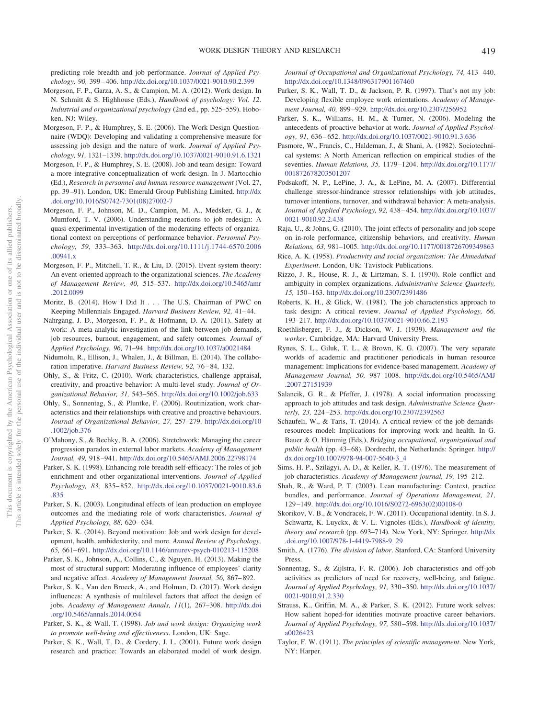predicting role breadth and job performance. *Journal of Applied Psychology, 90,* 399 – 406. <http://dx.doi.org/10.1037/0021-9010.90.2.399>

- <span id="page-16-13"></span>Morgeson, F. P., Garza, A. S., & Campion, M. A. (2012). Work design. In N. Schmitt & S. Highhouse (Eds.), *Handbook of psychology: Vol. 12*. *Industrial and organizational psychology* (2nd ed., pp. 525–559). Hoboken, NJ: Wiley.
- <span id="page-16-26"></span>Morgeson, F. P., & Humphrey, S. E. (2006). The Work Design Questionnaire (WDQ): Developing and validating a comprehensive measure for assessing job design and the nature of work. *Journal of Applied Psychology, 91,* 1321–1339. <http://dx.doi.org/10.1037/0021-9010.91.6.1321>
- <span id="page-16-4"></span>Morgeson, F. P., & Humphrey, S. E. (2008). Job and team design: Toward a more integrative conceptualization of work design. In J. Martocchio (Ed.), *Research in personnel and human resource management* (Vol. 27, pp. 39 –91). London, UK: Emerald Group Publishing Limited. [http://dx](http://dx.doi.org/10.1016/S0742-7301%2808%2927002-7) [.doi.org/10.1016/S0742-7301\(08\)27002-7](http://dx.doi.org/10.1016/S0742-7301%2808%2927002-7)
- <span id="page-16-8"></span>Morgeson, F. P., Johnson, M. D., Campion, M. A., Medsker, G. J., & Mumford, T. V. (2006). Understanding reactions to job redesign: A quasi-experimental investigation of the moderating effects of organizational context on perceptions of performance behavior. *Personnel Psychology, 59,* 333–363. [http://dx.doi.org/10.1111/j.1744-6570.2006](http://dx.doi.org/10.1111/j.1744-6570.2006.00941.x) [.00941.x](http://dx.doi.org/10.1111/j.1744-6570.2006.00941.x)
- <span id="page-16-36"></span>Morgeson, F. P., Mitchell, T. R., & Liu, D. (2015). Event system theory: An event-oriented approach to the organizational sciences. *The Academy of Management Review, 40,* 515–537. [http://dx.doi.org/10.5465/amr](http://dx.doi.org/10.5465/amr.2012.0099) [.2012.0099](http://dx.doi.org/10.5465/amr.2012.0099)
- <span id="page-16-32"></span>Moritz, B. (2014). How I Did It . . . The U.S. Chairman of PWC on Keeping Millennials Engaged. *Harvard Business Review, 92,* 41– 44.
- <span id="page-16-20"></span>Nahrgang, J. D., Morgeson, F. P., & Hofmann, D. A. (2011). Safety at work: A meta-analytic investigation of the link between job demands, job resources, burnout, engagement, and safety outcomes. *Journal of Applied Psychology, 96,* 71–94. <http://dx.doi.org/10.1037/a0021484>
- <span id="page-16-31"></span>Nidumolu, R., Ellison, J., Whalen, J., & Billman, E. (2014). The collaboration imperative. *Harvard Business Review*, 92, 76-84, 132.
- <span id="page-16-18"></span>Ohly, S., & Fritz, C. (2010). Work characteristics, challenge appraisal, creativity, and proactive behavior: A multi-level study. *Journal of Organizational Behavior, 31,* 543–565. <http://dx.doi.org/10.1002/job.633>
- <span id="page-16-19"></span>Ohly, S., Sonnentag, S., & Pluntke, F. (2006). Routinization, work characteristics and their relationships with creative and proactive behaviours. *Journal of Organizational Behavior, 27,* 257–279. [http://dx.doi.org/10](http://dx.doi.org/10.1002/job.376) [.1002/job.376](http://dx.doi.org/10.1002/job.376)
- <span id="page-16-28"></span>O'Mahony, S., & Bechky, B. A. (2006). Stretchwork: Managing the career progression paradox in external labor markets. *Academy of Management Journal, 49,* 918 –941. <http://dx.doi.org/10.5465/AMJ.2006.22798174>
- <span id="page-16-23"></span>Parker, S. K. (1998). Enhancing role breadth self-efficacy: The roles of job enrichment and other organizational interventions. *Journal of Applied Psychology, 83,* 835– 852. [http://dx.doi.org/10.1037/0021-9010.83.6](http://dx.doi.org/10.1037/0021-9010.83.6.835) [.835](http://dx.doi.org/10.1037/0021-9010.83.6.835)
- <span id="page-16-9"></span>Parker, S. K. (2003). Longitudinal effects of lean production on employee outcomes and the mediating role of work characteristics. *Journal of Applied Psychology, 88,* 620 – 634.
- <span id="page-16-3"></span>Parker, S. K. (2014). Beyond motivation: Job and work design for development, health, ambidexterity, and more. *Annual Review of Psychology, 65,* 661– 691. <http://dx.doi.org/10.1146/annurev-psych-010213-115208>
- <span id="page-16-27"></span>Parker, S. K., Johnson, A., Collins, C., & Nguyen, H. (2013). Making the most of structural support: Moderating influence of employees' clarity and negative affect. *Academy of Management Journal, 56,* 867– 892.
- <span id="page-16-35"></span>Parker, S. K., Van den Broeck, A., and Holman, D. (2017). Work design influences: A synthesis of multilevel factors that affect the design of jobs. *Academy of Management Annals, 11*(1), 267–308. [http://dx.doi](http://dx.doi.org/10.5465/annals.2014.0054) [.org/10.5465/annals.2014.0054](http://dx.doi.org/10.5465/annals.2014.0054)
- <span id="page-16-7"></span>Parker, S. K., & Wall, T. (1998). *Job and work design: Organizing work to promote well-being and effectiveness*. London, UK: Sage.
- <span id="page-16-25"></span>Parker, S. K., Wall, T. D., & Cordery, J. L. (2001). Future work design research and practice: Towards an elaborated model of work design.

*Journal of Occupational and Organizational Psychology, 74,* 413– 440. <http://dx.doi.org/10.1348/096317901167460>

- <span id="page-16-22"></span>Parker, S. K., Wall, T. D., & Jackson, P. R. (1997). That's not my job: Developing flexible employee work orientations. *Academy of Management Journal, 40,* 899 –929. <http://dx.doi.org/10.2307/256952>
- <span id="page-16-24"></span>Parker, S. K., Williams, H. M., & Turner, N. (2006). Modeling the antecedents of proactive behavior at work. *Journal of Applied Psychology, 91,* 636 – 652. <http://dx.doi.org/10.1037/0021-9010.91.3.636>
- <span id="page-16-6"></span>Pasmore, W., Francis, C., Haldeman, J., & Shani, A. (1982). Sociotechnical systems: A North American reflection on empirical studies of the seventies. *Human Relations, 35,* 1179 –1204. [http://dx.doi.org/10.1177/](http://dx.doi.org/10.1177/001872678203501207) [001872678203501207](http://dx.doi.org/10.1177/001872678203501207)
- <span id="page-16-17"></span>Podsakoff, N. P., LePine, J. A., & LePine, M. A. (2007). Differential challenge stressor-hindrance stressor relationships with job attitudes, turnover intentions, turnover, and withdrawal behavior: A meta-analysis. *Journal of Applied Psychology, 92,* 438 – 454. [http://dx.doi.org/10.1037/](http://dx.doi.org/10.1037/0021-9010.92.2.438) [0021-9010.92.2.438](http://dx.doi.org/10.1037/0021-9010.92.2.438)
- <span id="page-16-14"></span>Raja, U., & Johns, G. (2010). The joint effects of personality and job scope on in-role performance, citizenship behaviors, and creativity. *Human Relations, 63,* 981–1005. <http://dx.doi.org/10.1177/0018726709349863>
- <span id="page-16-5"></span>Rice, A. K. (1958). *Productivity and social organization: The Ahmedabad Experiment*. London, UK: Tavistock Publications.
- <span id="page-16-21"></span>Rizzo, J. R., House, R. J., & Lirtzman, S. I. (1970). Role conflict and ambiguity in complex organizations. *Administrative Science Quarterly, 15,* 150 –163. <http://dx.doi.org/10.2307/2391486>
- <span id="page-16-11"></span>Roberts, K. H., & Glick, W. (1981). The job characteristics approach to task design: A critical review. *Journal of Applied Psychology, 66,* 193–217. <http://dx.doi.org/10.1037/0021-9010.66.2.193>
- <span id="page-16-2"></span>Roethlisberger, F. J., & Dickson, W. J. (1939). *Management and the worker*. Cambridge, MA: Harvard University Press.
- <span id="page-16-30"></span>Rynes, S. L., Giluk, T. L., & Brown, K. G. (2007). The very separate worlds of academic and practitioner periodicals in human resource management: Implications for evidence-based management. *Academy of Management Journal, 50,* 987–1008. [http://dx.doi.org/10.5465/AMJ](http://dx.doi.org/10.5465/AMJ.2007.27151939) [.2007.27151939](http://dx.doi.org/10.5465/AMJ.2007.27151939)
- <span id="page-16-12"></span>Salancik, G. R., & Pfeffer, J. (1978). A social information processing approach to job attitudes and task design. *Administrative Science Quarterly, 23,* 224 –253. <http://dx.doi.org/10.2307/2392563>
- <span id="page-16-15"></span>Schaufeli, W., & Taris, T. (2014). A critical review of the job demandsresources model: Implications for improving work and health. In G. Bauer & O. Hämmig (Eds.), *Bridging occupational, organizational and public health* (pp. 43–68). Dordrecht, the Netherlands: Springer. [http://](http://dx.doi.org/10.1007/978-94-007-5640-3_4) [dx.doi.org/10.1007/978-94-007-5640-3\\_4](http://dx.doi.org/10.1007/978-94-007-5640-3_4)
- <span id="page-16-10"></span>Sims, H. P., Szilagyi, A. D., & Keller, R. T. (1976). The measurement of job characteristics. *Academy of Management journal, 19,* 195–212.
- <span id="page-16-29"></span>Shah, R., & Ward, P. T. (2003). Lean manufacturing: Context, practice bundles, and performance. *Journal of Operations Management, 21,* 129 –149. [http://dx.doi.org/10.1016/S0272-6963\(02\)00108-0](http://dx.doi.org/10.1016/S0272-6963%2802%2900108-0)
- <span id="page-16-33"></span>Skorikov, V. B., & Vondracek, F. W. (2011). Occupational identity. In S. J. Schwartz, K. Luyckx, & V. L. Vignoles (Eds.), *Handbook of identity, theory and research* (pp. 693–714). New York, NY: Springer. [http://dx](http://dx.doi.org/10.1007/978-1-4419-7988-9_29) [.doi.org/10.1007/978-1-4419-7988-9\\_29](http://dx.doi.org/10.1007/978-1-4419-7988-9_29)
- <span id="page-16-0"></span>Smith, A. (1776). *The division of labor*. Stanford, CA: Stanford University Press.
- <span id="page-16-16"></span>Sonnentag, S., & Zijlstra, F. R. (2006). Job characteristics and off-job activities as predictors of need for recovery, well-being, and fatigue. *Journal of Applied Psychology, 91,* 330 –350. [http://dx.doi.org/10.1037/](http://dx.doi.org/10.1037/0021-9010.91.2.330) [0021-9010.91.2.330](http://dx.doi.org/10.1037/0021-9010.91.2.330)
- <span id="page-16-34"></span>Strauss, K., Griffin, M. A., & Parker, S. K. (2012). Future work selves: How salient hoped-for identities motivate proactive career behaviors. *Journal of Applied Psychology, 97,* 580 –598. [http://dx.doi.org/10.1037/](http://dx.doi.org/10.1037/a0026423) [a0026423](http://dx.doi.org/10.1037/a0026423)
- <span id="page-16-1"></span>Taylor, F. W. (1911). *The principles of scientific management*. New York, NY: Harper.